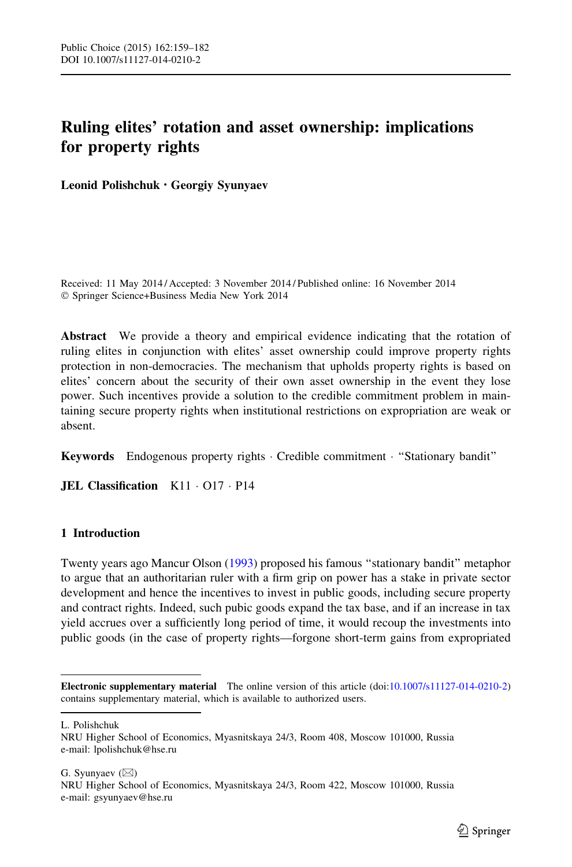# Ruling elites' rotation and asset ownership: implications for property rights

Leonid Polishchuk • Georgiy Syunyaev

Received: 11 May 2014 / Accepted: 3 November 2014 / Published online: 16 November 2014 - Springer Science+Business Media New York 2014

Abstract We provide a theory and empirical evidence indicating that the rotation of ruling elites in conjunction with elites' asset ownership could improve property rights protection in non-democracies. The mechanism that upholds property rights is based on elites' concern about the security of their own asset ownership in the event they lose power. Such incentives provide a solution to the credible commitment problem in maintaining secure property rights when institutional restrictions on expropriation are weak or absent.

Keywords Endogenous property rights · Credible commitment · "Stationary bandit"

**JEL Classification** K11 · O17 · P14

# 1 Introduction

Twenty years ago Mancur Olson ([1993\)](#page-23-0) proposed his famous ''stationary bandit'' metaphor to argue that an authoritarian ruler with a firm grip on power has a stake in private sector development and hence the incentives to invest in public goods, including secure property and contract rights. Indeed, such pubic goods expand the tax base, and if an increase in tax yield accrues over a sufficiently long period of time, it would recoup the investments into public goods (in the case of property rights—forgone short-term gains from expropriated

L. Polishchuk

G. Syunyaev  $(\boxtimes)$ NRU Higher School of Economics, Myasnitskaya 24/3, Room 422, Moscow 101000, Russia e-mail: gsyunyaev@hse.ru

Electronic supplementary material The online version of this article (doi[:10.1007/s11127-014-0210-2\)](http://dx.doi.org/10.1007/s11127-014-0210-2) contains supplementary material, which is available to authorized users.

NRU Higher School of Economics, Myasnitskaya 24/3, Room 408, Moscow 101000, Russia e-mail: lpolishchuk@hse.ru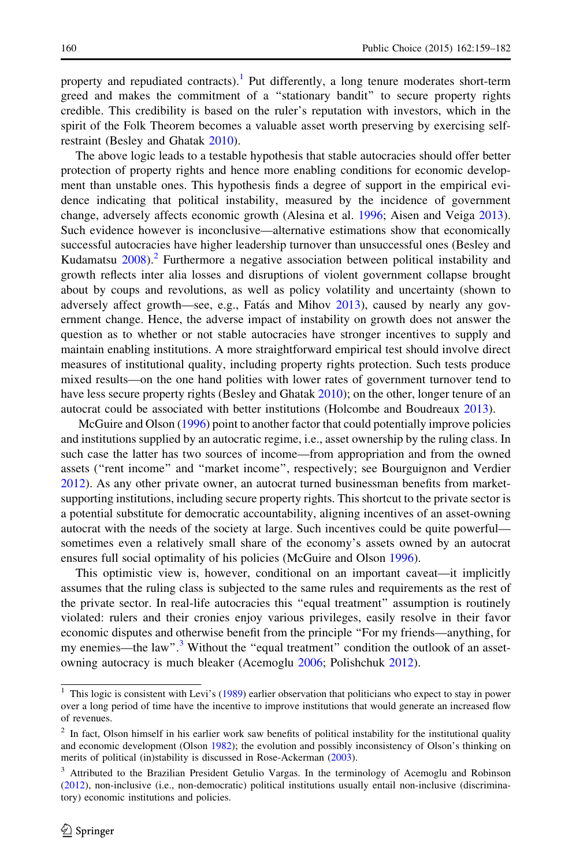property and repudiated contracts).<sup>1</sup> Put differently, a long tenure moderates short-term greed and makes the commitment of a ''stationary bandit'' to secure property rights credible. This credibility is based on the ruler's reputation with investors, which in the spirit of the Folk Theorem becomes a valuable asset worth preserving by exercising selfrestraint (Besley and Ghatak [2010](#page-21-0)).

The above logic leads to a testable hypothesis that stable autocracies should offer better protection of property rights and hence more enabling conditions for economic development than unstable ones. This hypothesis finds a degree of support in the empirical evidence indicating that political instability, measured by the incidence of government change, adversely affects economic growth (Alesina et al. [1996](#page-21-0); Aisen and Veiga [2013](#page-21-0)). Such evidence however is inconclusive—alternative estimations show that economically successful autocracies have higher leadership turnover than unsuccessful ones (Besley and Kudamatsu  $2008$ ).<sup>2</sup> Furthermore a negative association between political instability and growth reflects inter alia losses and disruptions of violent government collapse brought about by coups and revolutions, as well as policy volatility and uncertainty (shown to adversely affect growth—see, e.g., Fatás and Mihov [2013](#page-22-0)), caused by nearly any government change. Hence, the adverse impact of instability on growth does not answer the question as to whether or not stable autocracies have stronger incentives to supply and maintain enabling institutions. A more straightforward empirical test should involve direct measures of institutional quality, including property rights protection. Such tests produce mixed results—on the one hand polities with lower rates of government turnover tend to have less secure property rights (Besley and Ghatak [2010\)](#page-21-0); on the other, longer tenure of an autocrat could be associated with better institutions (Holcombe and Boudreaux [2013\)](#page-22-0).

McGuire and Olson [\(1996](#page-23-0)) point to another factor that could potentially improve policies and institutions supplied by an autocratic regime, i.e., asset ownership by the ruling class. In such case the latter has two sources of income—from appropriation and from the owned assets (''rent income'' and ''market income'', respectively; see Bourguignon and Verdier [2012\)](#page-22-0). As any other private owner, an autocrat turned businessman benefits from marketsupporting institutions, including secure property rights. This shortcut to the private sector is a potential substitute for democratic accountability, aligning incentives of an asset-owning autocrat with the needs of the society at large. Such incentives could be quite powerful sometimes even a relatively small share of the economy's assets owned by an autocrat ensures full social optimality of his policies (McGuire and Olson [1996](#page-23-0)).

This optimistic view is, however, conditional on an important caveat—it implicitly assumes that the ruling class is subjected to the same rules and requirements as the rest of the private sector. In real-life autocracies this ''equal treatment'' assumption is routinely violated: rulers and their cronies enjoy various privileges, easily resolve in their favor economic disputes and otherwise benefit from the principle ''For my friends—anything, for my enemies—the law".<sup>3</sup> Without the "equal treatment" condition the outlook of an assetowning autocracy is much bleaker (Acemoglu [2006;](#page-21-0) Polishchuk [2012\)](#page-23-0).

<sup>&</sup>lt;sup>1</sup> This logic is consistent with Levi's ( $1989$ ) earlier observation that politicians who expect to stay in power over a long period of time have the incentive to improve institutions that would generate an increased flow of revenues.

<sup>&</sup>lt;sup>2</sup> In fact, Olson himself in his earlier work saw benefits of political instability for the institutional quality and economic development (Olson [1982](#page-23-0)); the evolution and possibly inconsistency of Olson's thinking on merits of political (in)stability is discussed in Rose-Ackerman [\(2003](#page-23-0)).

<sup>&</sup>lt;sup>3</sup> Attributed to the Brazilian President Getulio Vargas. In the terminology of Acemoglu and Robinson [\(2012](#page-21-0)), non-inclusive (i.e., non-democratic) political institutions usually entail non-inclusive (discriminatory) economic institutions and policies.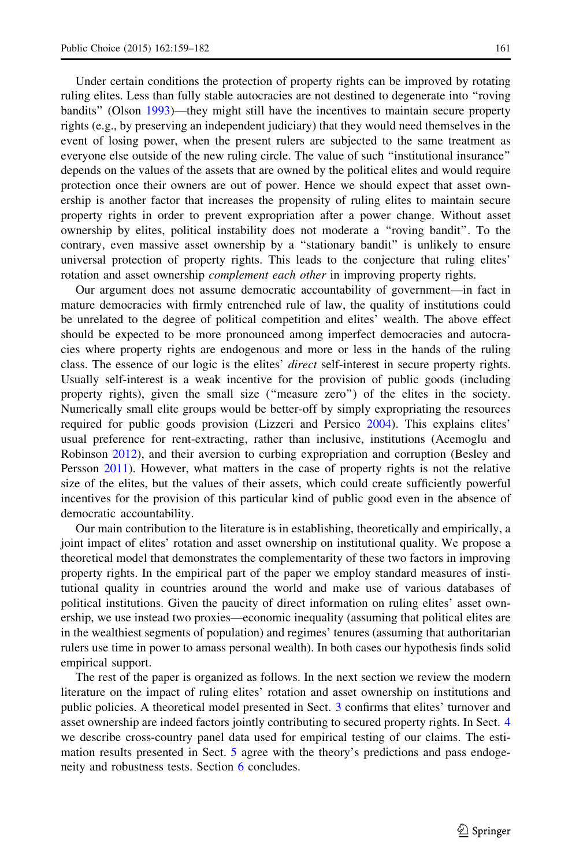Under certain conditions the protection of property rights can be improved by rotating ruling elites. Less than fully stable autocracies are not destined to degenerate into ''roving bandits" (Olson [1993\)](#page-23-0)—they might still have the incentives to maintain secure property rights (e.g., by preserving an independent judiciary) that they would need themselves in the event of losing power, when the present rulers are subjected to the same treatment as everyone else outside of the new ruling circle. The value of such ''institutional insurance'' depends on the values of the assets that are owned by the political elites and would require protection once their owners are out of power. Hence we should expect that asset ownership is another factor that increases the propensity of ruling elites to maintain secure property rights in order to prevent expropriation after a power change. Without asset ownership by elites, political instability does not moderate a ''roving bandit''. To the contrary, even massive asset ownership by a ''stationary bandit'' is unlikely to ensure universal protection of property rights. This leads to the conjecture that ruling elites' rotation and asset ownership *complement each other* in improving property rights.

Our argument does not assume democratic accountability of government—in fact in mature democracies with firmly entrenched rule of law, the quality of institutions could be unrelated to the degree of political competition and elites' wealth. The above effect should be expected to be more pronounced among imperfect democracies and autocracies where property rights are endogenous and more or less in the hands of the ruling class. The essence of our logic is the elites' *direct* self-interest in secure property rights. Usually self-interest is a weak incentive for the provision of public goods (including property rights), given the small size (''measure zero'') of the elites in the society. Numerically small elite groups would be better-off by simply expropriating the resources required for public goods provision (Lizzeri and Persico [2004\)](#page-23-0). This explains elites' usual preference for rent-extracting, rather than inclusive, institutions (Acemoglu and Robinson [2012](#page-21-0)), and their aversion to curbing expropriation and corruption (Besley and Persson [2011\)](#page-22-0). However, what matters in the case of property rights is not the relative size of the elites, but the values of their assets, which could create sufficiently powerful incentives for the provision of this particular kind of public good even in the absence of democratic accountability.

Our main contribution to the literature is in establishing, theoretically and empirically, a joint impact of elites' rotation and asset ownership on institutional quality. We propose a theoretical model that demonstrates the complementarity of these two factors in improving property rights. In the empirical part of the paper we employ standard measures of institutional quality in countries around the world and make use of various databases of political institutions. Given the paucity of direct information on ruling elites' asset ownership, we use instead two proxies—economic inequality (assuming that political elites are in the wealthiest segments of population) and regimes' tenures (assuming that authoritarian rulers use time in power to amass personal wealth). In both cases our hypothesis finds solid empirical support.

The rest of the paper is organized as follows. In the next section we review the modern literature on the impact of ruling elites' rotation and asset ownership on institutions and public policies. A theoretical model presented in Sect. [3](#page-5-0) confirms that elites' turnover and asset ownership are indeed factors jointly contributing to secured property rights. In Sect. [4](#page-8-0) we describe cross-country panel data used for empirical testing of our claims. The esti-mation results presented in Sect. [5](#page-12-0) agree with the theory's predictions and pass endogeneity and robustness tests. Section [6](#page-19-0) concludes.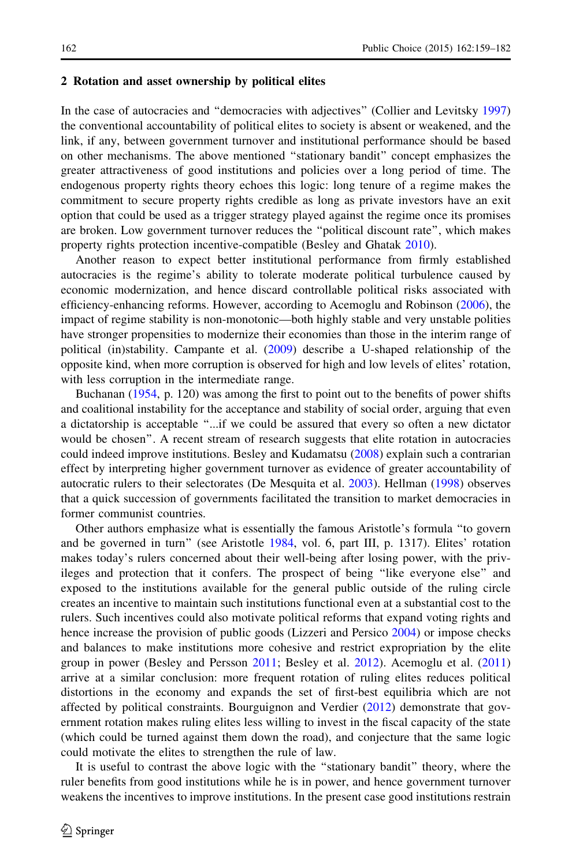## 2 Rotation and asset ownership by political elites

In the case of autocracies and "democracies with adjectives" (Collier and Levitsky [1997](#page-22-0)) the conventional accountability of political elites to society is absent or weakened, and the link, if any, between government turnover and institutional performance should be based on other mechanisms. The above mentioned ''stationary bandit'' concept emphasizes the greater attractiveness of good institutions and policies over a long period of time. The endogenous property rights theory echoes this logic: long tenure of a regime makes the commitment to secure property rights credible as long as private investors have an exit option that could be used as a trigger strategy played against the regime once its promises are broken. Low government turnover reduces the ''political discount rate'', which makes property rights protection incentive-compatible (Besley and Ghatak [2010](#page-21-0)).

Another reason to expect better institutional performance from firmly established autocracies is the regime's ability to tolerate moderate political turbulence caused by economic modernization, and hence discard controllable political risks associated with efficiency-enhancing reforms. However, according to Acemoglu and Robinson ([2006\)](#page-21-0), the impact of regime stability is non-monotonic—both highly stable and very unstable polities have stronger propensities to modernize their economies than those in the interim range of political (in)stability. Campante et al. ([2009\)](#page-22-0) describe a U-shaped relationship of the opposite kind, when more corruption is observed for high and low levels of elites' rotation, with less corruption in the intermediate range.

Buchanan ([1954,](#page-22-0) p. 120) was among the first to point out to the benefits of power shifts and coalitional instability for the acceptance and stability of social order, arguing that even a dictatorship is acceptable ''...if we could be assured that every so often a new dictator would be chosen''. A recent stream of research suggests that elite rotation in autocracies could indeed improve institutions. Besley and Kudamatsu ([2008](#page-22-0)) explain such a contrarian effect by interpreting higher government turnover as evidence of greater accountability of autocratic rulers to their selectorates (De Mesquita et al. [2003\)](#page-22-0). Hellman [\(1998](#page-22-0)) observes that a quick succession of governments facilitated the transition to market democracies in former communist countries.

Other authors emphasize what is essentially the famous Aristotle's formula ''to govern and be governed in turn'' (see Aristotle [1984,](#page-21-0) vol. 6, part III, p. 1317). Elites' rotation makes today's rulers concerned about their well-being after losing power, with the privileges and protection that it confers. The prospect of being ''like everyone else'' and exposed to the institutions available for the general public outside of the ruling circle creates an incentive to maintain such institutions functional even at a substantial cost to the rulers. Such incentives could also motivate political reforms that expand voting rights and hence increase the provision of public goods (Lizzeri and Persico [2004](#page-23-0)) or impose checks and balances to make institutions more cohesive and restrict expropriation by the elite group in power (Besley and Persson [2011](#page-22-0); Besley et al. [2012](#page-22-0)). Acemoglu et al. ([2011](#page-21-0)) arrive at a similar conclusion: more frequent rotation of ruling elites reduces political distortions in the economy and expands the set of first-best equilibria which are not affected by political constraints. Bourguignon and Verdier ([2012\)](#page-22-0) demonstrate that government rotation makes ruling elites less willing to invest in the fiscal capacity of the state (which could be turned against them down the road), and conjecture that the same logic could motivate the elites to strengthen the rule of law.

It is useful to contrast the above logic with the ''stationary bandit'' theory, where the ruler benefits from good institutions while he is in power, and hence government turnover weakens the incentives to improve institutions. In the present case good institutions restrain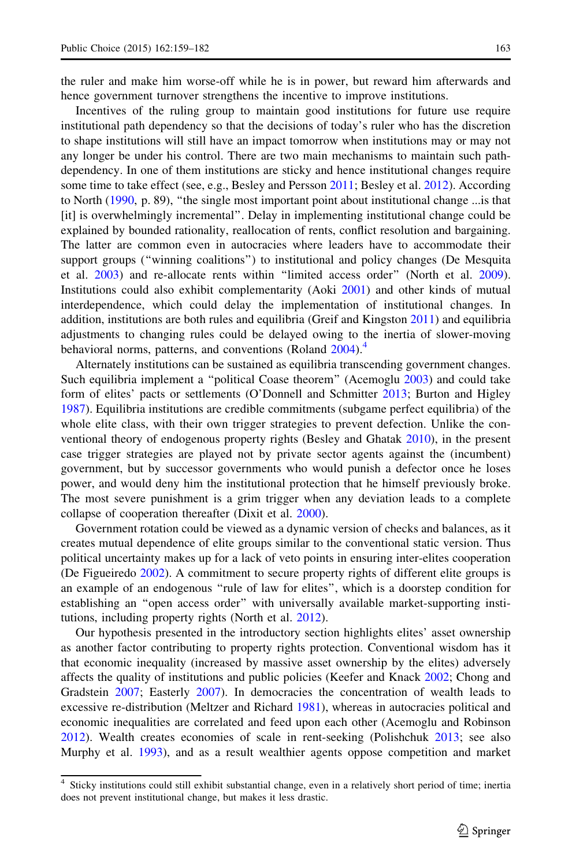the ruler and make him worse-off while he is in power, but reward him afterwards and hence government turnover strengthens the incentive to improve institutions.

Incentives of the ruling group to maintain good institutions for future use require institutional path dependency so that the decisions of today's ruler who has the discretion to shape institutions will still have an impact tomorrow when institutions may or may not any longer be under his control. There are two main mechanisms to maintain such pathdependency. In one of them institutions are sticky and hence institutional changes require some time to take effect (see, e.g., Besley and Persson [2011](#page-22-0); Besley et al. [2012\)](#page-22-0). According to North [\(1990](#page-23-0), p. 89), ''the single most important point about institutional change ...is that [it] is overwhelmingly incremental''. Delay in implementing institutional change could be explained by bounded rationality, reallocation of rents, conflict resolution and bargaining. The latter are common even in autocracies where leaders have to accommodate their support groups (''winning coalitions'') to institutional and policy changes (De Mesquita et al. [2003\)](#page-22-0) and re-allocate rents within ''limited access order'' (North et al. [2009](#page-23-0)). Institutions could also exhibit complementarity (Aoki [2001\)](#page-21-0) and other kinds of mutual interdependence, which could delay the implementation of institutional changes. In addition, institutions are both rules and equilibria (Greif and Kingston [2011](#page-22-0)) and equilibria adjustments to changing rules could be delayed owing to the inertia of slower-moving behavioral norms, patterns, and conventions (Roland [2004](#page-23-0)).<sup>4</sup>

Alternately institutions can be sustained as equilibria transcending government changes. Such equilibria implement a ''political Coase theorem'' (Acemoglu [2003](#page-21-0)) and could take form of elites' pacts or settlements (O'Donnell and Schmitter [2013](#page-23-0); Burton and Higley [1987\)](#page-22-0). Equilibria institutions are credible commitments (subgame perfect equilibria) of the whole elite class, with their own trigger strategies to prevent defection. Unlike the conventional theory of endogenous property rights (Besley and Ghatak [2010](#page-21-0)), in the present case trigger strategies are played not by private sector agents against the (incumbent) government, but by successor governments who would punish a defector once he loses power, and would deny him the institutional protection that he himself previously broke. The most severe punishment is a grim trigger when any deviation leads to a complete collapse of cooperation thereafter (Dixit et al. [2000\)](#page-22-0).

Government rotation could be viewed as a dynamic version of checks and balances, as it creates mutual dependence of elite groups similar to the conventional static version. Thus political uncertainty makes up for a lack of veto points in ensuring inter-elites cooperation (De Figueiredo [2002\)](#page-22-0). A commitment to secure property rights of different elite groups is an example of an endogenous ''rule of law for elites'', which is a doorstep condition for establishing an ''open access order'' with universally available market-supporting institutions, including property rights (North et al. [2012\)](#page-23-0).

Our hypothesis presented in the introductory section highlights elites' asset ownership as another factor contributing to property rights protection. Conventional wisdom has it that economic inequality (increased by massive asset ownership by the elites) adversely affects the quality of institutions and public policies (Keefer and Knack [2002](#page-22-0); Chong and Gradstein [2007](#page-22-0); Easterly [2007\)](#page-22-0). In democracies the concentration of wealth leads to excessive re-distribution (Meltzer and Richard [1981\)](#page-23-0), whereas in autocracies political and economic inequalities are correlated and feed upon each other (Acemoglu and Robinson [2012\)](#page-21-0). Wealth creates economies of scale in rent-seeking (Polishchuk [2013](#page-23-0); see also Murphy et al. [1993](#page-23-0)), and as a result wealthier agents oppose competition and market

<sup>4</sup> Sticky institutions could still exhibit substantial change, even in a relatively short period of time; inertia does not prevent institutional change, but makes it less drastic.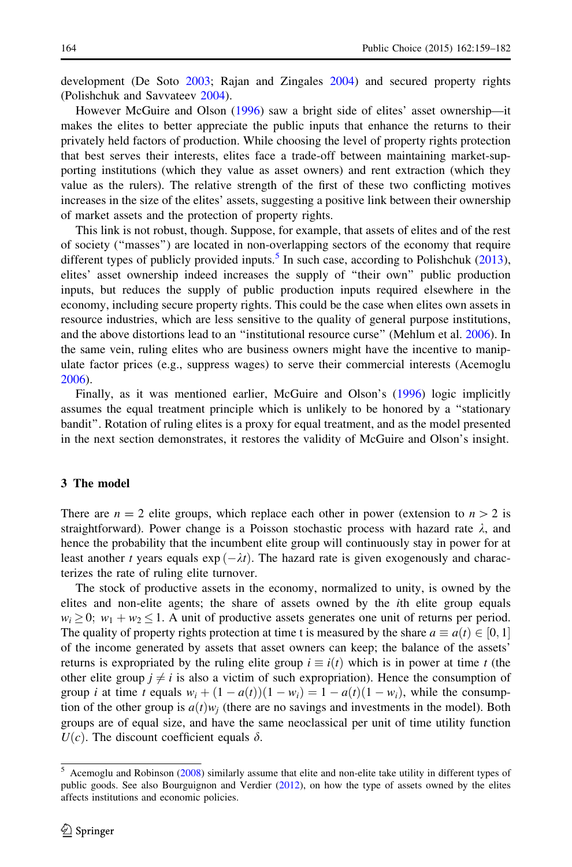<span id="page-5-0"></span>development (De Soto [2003;](#page-22-0) Rajan and Zingales [2004](#page-23-0)) and secured property rights (Polishchuk and Savvateev [2004](#page-23-0)).

However McGuire and Olson ([1996\)](#page-23-0) saw a bright side of elites' asset ownership—it makes the elites to better appreciate the public inputs that enhance the returns to their privately held factors of production. While choosing the level of property rights protection that best serves their interests, elites face a trade-off between maintaining market-supporting institutions (which they value as asset owners) and rent extraction (which they value as the rulers). The relative strength of the first of these two conflicting motives increases in the size of the elites' assets, suggesting a positive link between their ownership of market assets and the protection of property rights.

This link is not robust, though. Suppose, for example, that assets of elites and of the rest of society (''masses'') are located in non-overlapping sectors of the economy that require different types of publicly provided inputs.<sup>5</sup> In such case, according to Polishchuk [\(2013](#page-23-0)), elites' asset ownership indeed increases the supply of ''their own'' public production inputs, but reduces the supply of public production inputs required elsewhere in the economy, including secure property rights. This could be the case when elites own assets in resource industries, which are less sensitive to the quality of general purpose institutions, and the above distortions lead to an ''institutional resource curse'' (Mehlum et al. [2006\)](#page-23-0). In the same vein, ruling elites who are business owners might have the incentive to manipulate factor prices (e.g., suppress wages) to serve their commercial interests (Acemoglu [2006\)](#page-21-0).

Finally, as it was mentioned earlier, McGuire and Olson's ([1996\)](#page-23-0) logic implicitly assumes the equal treatment principle which is unlikely to be honored by a ''stationary bandit''. Rotation of ruling elites is a proxy for equal treatment, and as the model presented in the next section demonstrates, it restores the validity of McGuire and Olson's insight.

# 3 The model

There are  $n = 2$  elite groups, which replace each other in power (extension to  $n > 2$  is straightforward). Power change is a Poisson stochastic process with hazard rate  $\lambda$ , and hence the probability that the incumbent elite group will continuously stay in power for at least another t years equals  $\exp(-\lambda t)$ . The hazard rate is given exogenously and characterizes the rate of ruling elite turnover.

The stock of productive assets in the economy, normalized to unity, is owned by the elites and non-elite agents; the share of assets owned by the ith elite group equals  $w_i \geq 0$ ;  $w_1 + w_2 \leq 1$ . A unit of productive assets generates one unit of returns per period. The quality of property rights protection at time t is measured by the share  $a \equiv a(t) \in [0, 1]$ of the income generated by assets that asset owners can keep; the balance of the assets' returns is expropriated by the ruling elite group  $i \equiv i(t)$  which is in power at time t (the other elite group  $i \neq i$  is also a victim of such expropriation). Hence the consumption of group *i* at time *t* equals  $w_i + (1 - a(t))(1 - w_i) = 1 - a(t)(1 - w_i)$ , while the consumption of the other group is  $a(t)w_i$  (there are no savings and investments in the model). Both groups are of equal size, and have the same neoclassical per unit of time utility function  $U(c)$ . The discount coefficient equals  $\delta$ .

<sup>&</sup>lt;sup>5</sup> Acemoglu and Robinson ([2008\)](#page-21-0) similarly assume that elite and non-elite take utility in different types of public goods. See also Bourguignon and Verdier ([2012](#page-22-0)), on how the type of assets owned by the elites affects institutions and economic policies.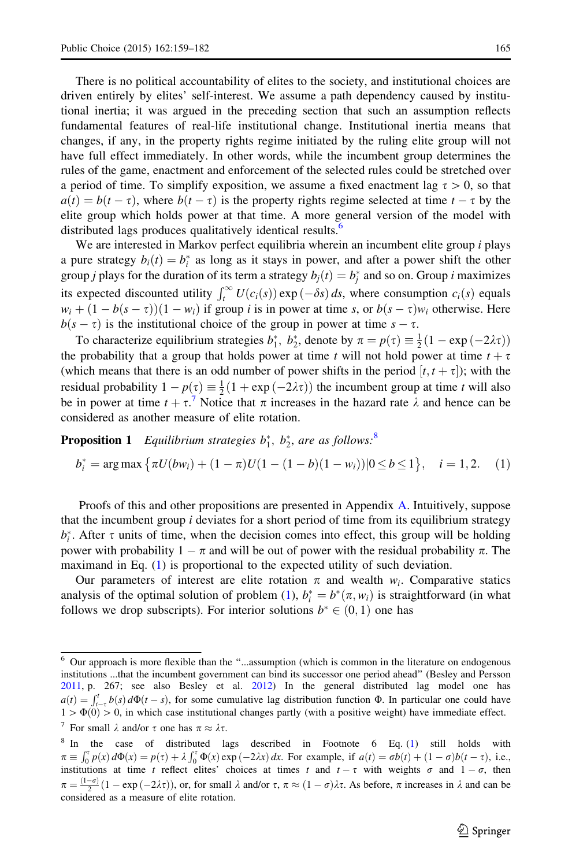<span id="page-6-0"></span>There is no political accountability of elites to the society, and institutional choices are driven entirely by elites' self-interest. We assume a path dependency caused by institutional inertia; it was argued in the preceding section that such an assumption reflects fundamental features of real-life institutional change. Institutional inertia means that changes, if any, in the property rights regime initiated by the ruling elite group will not have full effect immediately. In other words, while the incumbent group determines the rules of the game, enactment and enforcement of the selected rules could be stretched over a period of time. To simplify exposition, we assume a fixed enactment lag  $\tau > 0$ , so that  $a(t) = b(t - \tau)$ , where  $b(t - \tau)$  is the property rights regime selected at time  $t - \tau$  by the elite group which holds power at that time. A more general version of the model with distributed lags produces qualitatively identical results.<sup>6</sup>

We are interested in Markov perfect equilibria wherein an incumbent elite group  $i$  plays a pure strategy  $b_i(t) = b_i^*$  as long as it stays in power, and after a power shift the other group *j* plays for the duration of its term a strategy  $b_j(t) = b_j^*$  and so on. Group *i* maximizes its expected discounted utility  $\int_t^{\infty} U(c_i(s)) \exp(-\delta s) ds$ , where consumption  $c_i(s)$  equals  $w_i + (1 - b(s - \tau))(1 - w_i)$  if group i is in power at time s, or  $b(s - \tau)w_i$  otherwise. Here  $b(s - \tau)$  is the institutional choice of the group in power at time  $s - \tau$ .

To characterize equilibrium strategies  $b_1^*$ ,  $b_2^*$ , denote by  $\pi = p(\tau) \equiv \frac{1}{2}(1 - \exp(-2\lambda \tau))$ the probability that a group that holds power at time t will not hold power at time  $t + \tau$ (which means that there is an odd number of power shifts in the period  $[t, t + \tau]$ ); with the residual probability  $1 - p(\tau) \equiv \frac{1}{2}(1 + \exp(-2\lambda \tau))$  the incumbent group at time t will also be in power at time  $t + \tau$ .<sup>7</sup> Notice that  $\pi$  increases in the hazard rate  $\lambda$  and hence can be considered as another measure of elite rotation.

**Proposition 1** Equilibrium strategies  $b_1^*$ ,  $b_2^*$ , are as follows:<sup>8</sup>

$$
b_i^* = \arg \max \left\{ \pi U(bw_i) + (1 - \pi)U(1 - (1 - b)(1 - w_i)) | 0 \le b \le 1 \right\}, \quad i = 1, 2. \quad (1)
$$

Proofs of this and other propositions are presented in Appendix [A.](#page-20-0) Intuitively, suppose that the incumbent group  $i$  deviates for a short period of time from its equilibrium strategy  $b_i^*$ . After  $\tau$  units of time, when the decision comes into effect, this group will be holding power with probability  $1 - \pi$  and will be out of power with the residual probability  $\pi$ . The maximand in Eq. (1) is proportional to the expected utility of such deviation.

Our parameters of interest are elite rotation  $\pi$  and wealth  $w_i$ . Comparative statics analysis of the optimal solution of problem (1),  $b_i^* = b^*(\pi, w_i)$  is straightforward (in what follows we drop subscripts). For interior solutions  $b^* \in (0, 1)$  one has

<sup>6</sup> Our approach is more flexible than the ''...assumption (which is common in the literature on endogenous institutions ...that the incumbent government can bind its successor one period ahead'' (Besley and Persson [2011,](#page-22-0) p. 267; see also Besley et al. [2012](#page-22-0)) In the general distributed lag model one has  $a(t) = \int_{t-\tau}^{t} b(s) d\Phi(t-s)$ , for some cumulative lag distribution function  $\Phi$ . In particular one could have  $1 > \Phi(0) > 0$ , in which case institutional changes partly (with a positive weight) have immediate effect. <sup>7</sup> For small  $\lambda$  and/or  $\tau$  one has  $\pi \approx \lambda \tau$ .

 $8 \text{ In }$  the case of distributed lags described in Footnote 6 Eq. (1) still holds with  $\pi \equiv \int_0^{\pi} p(x) d\Phi(x) = p(\tau) + \lambda \int_0^{\pi} \Phi(x) \exp(-2\lambda x) dx$ . For example, if  $a(t) = \sigma b(t) + (1 - \sigma) b(t - \tau)$ , i.e., institutions at time t reflect elites' choices at times t and  $t - \tau$  with weights  $\sigma$  and  $1 - \sigma$ , then  $\pi = \frac{(1-\sigma)}{2}(1 - \exp(-2\lambda\tau))$ , or, for small  $\lambda$  and/or  $\tau$ ,  $\pi \approx (1 - \sigma)\lambda\tau$ . As before,  $\pi$  increases in  $\lambda$  and can be considered as a measure of elite rotation.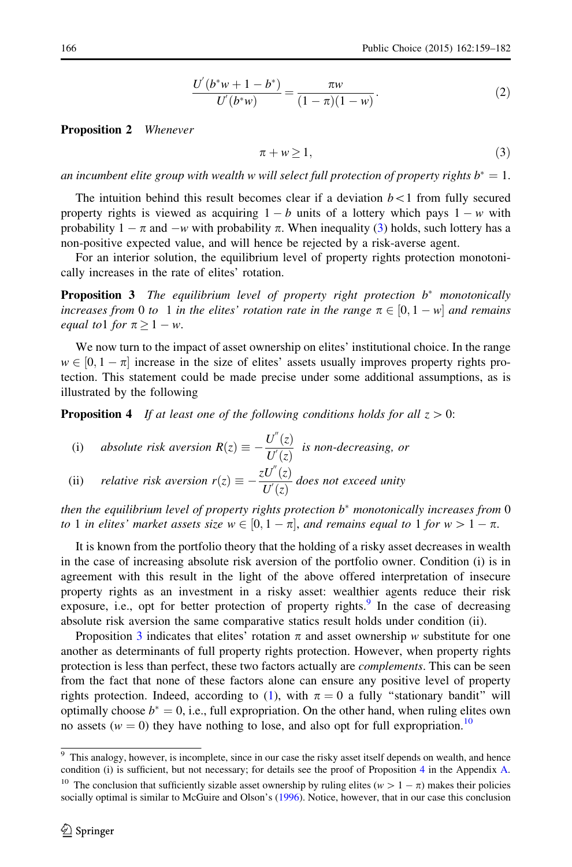$$
\frac{U'(b^*w+1-b^*)}{U'(b^*w)} = \frac{\pi w}{(1-\pi)(1-w)}.
$$
\n(2)

<span id="page-7-0"></span>Proposition 2 Whenever

$$
\pi + w \ge 1,\tag{3}
$$

an incumbent elite group with wealth w will select full protection of property rights  $b^* = 1$ .

The intuition behind this result becomes clear if a deviation  $b \lt 1$  from fully secured property rights is viewed as acquiring  $1 - b$  units of a lottery which pays  $1 - w$  with probability  $1 - \pi$  and  $-w$  with probability  $\pi$ . When inequality (3) holds, such lottery has a non-positive expected value, and will hence be rejected by a risk-averse agent.

For an interior solution, the equilibrium level of property rights protection monotonically increases in the rate of elites' rotation.

**Proposition 3** The equilibrium level of property right protection  $b^*$  monotonically increases from 0 to 1 in the elites' rotation rate in the range  $\pi \in [0, 1 - w]$  and remains equal to 1 for  $\pi \geq 1 - w$ .

We now turn to the impact of asset ownership on elites' institutional choice. In the range  $w \in [0, 1 - \pi]$  increase in the size of elites' assets usually improves property rights protection. This statement could be made precise under some additional assumptions, as is illustrated by the following

**Proposition 4** If at least one of the following conditions holds for all  $z > 0$ :

(i) absolute risk aversion 
$$
R(z) \equiv -\frac{U''(z)}{U'(z)}
$$
 is non-decreasing, or

(ii) relative risk aversion  $r(z) \equiv -\frac{zU^{''}(z)}{U^{'}(z)}$  does not exceed unity

then the equilibrium level of property rights protection  $b^*$  monotonically increases from 0 to 1 in elites' market assets size  $w \in [0, 1 - \pi]$ , and remains equal to 1 for  $w > 1 - \pi$ .

It is known from the portfolio theory that the holding of a risky asset decreases in wealth in the case of increasing absolute risk aversion of the portfolio owner. Condition (i) is in agreement with this result in the light of the above offered interpretation of insecure property rights as an investment in a risky asset: wealthier agents reduce their risk exposure, i.e., opt for better protection of property rights.<sup>9</sup> In the case of decreasing absolute risk aversion the same comparative statics result holds under condition (ii).

Proposition 3 indicates that elites' rotation  $\pi$  and asset ownership w substitute for one another as determinants of full property rights protection. However, when property rights protection is less than perfect, these two factors actually are *complements*. This can be seen from the fact that none of these factors alone can ensure any positive level of property rights protection. Indeed, according to ([1\)](#page-6-0), with  $\pi = 0$  a fully "stationary bandit" will optimally choose  $b^* = 0$ , i.e., full expropriation. On the other hand, when ruling elites own no assets ( $w = 0$ ) they have nothing to lose, and also opt for full expropriation.<sup>10</sup>

<sup>&</sup>lt;sup>9</sup> This analogy, however, is incomplete, since in our case the risky asset itself depends on wealth, and hence condition (i) is sufficient, but not necessary; for details see the proof of Proposition 4 in the Appendix [A](#page-20-0).

<sup>&</sup>lt;sup>10</sup> The conclusion that sufficiently sizable asset ownership by ruling elites ( $w > 1 - \pi$ ) makes their policies socially optimal is similar to McGuire and Olson's [\(1996\)](#page-23-0). Notice, however, that in our case this conclusion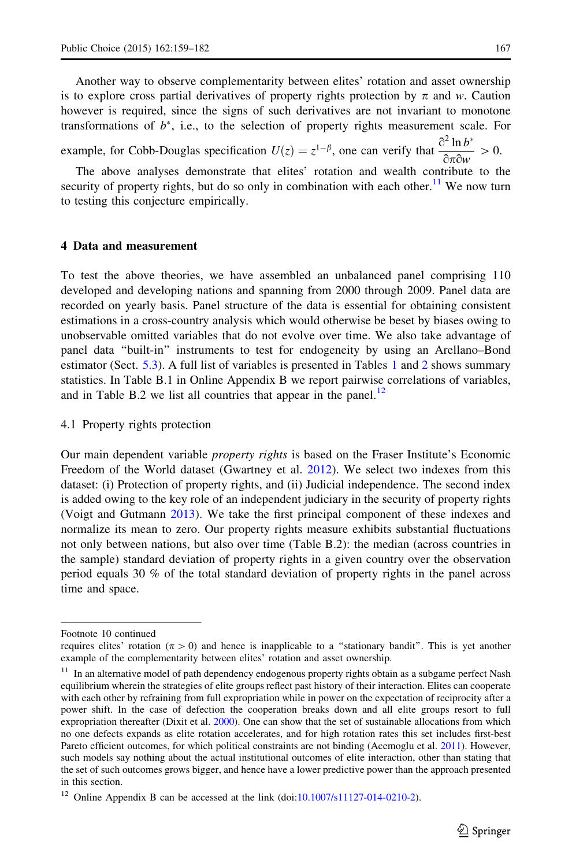<span id="page-8-0"></span>Another way to observe complementarity between elites' rotation and asset ownership is to explore cross partial derivatives of property rights protection by  $\pi$  and w. Caution however is required, since the signs of such derivatives are not invariant to monotone transformations of  $b^*$ , i.e., to the selection of property rights measurement scale. For

example, for Cobb-Douglas specification  $U(z) = z^{1-\beta}$ , one can verify that  $\frac{\partial^2 \ln b^*}{\partial \pi \partial w} > 0$ .

The above analyses demonstrate that elites' rotation and wealth contribute to the security of property rights, but do so only in combination with each other.<sup>11</sup> We now turn to testing this conjecture empirically.

### 4 Data and measurement

To test the above theories, we have assembled an unbalanced panel comprising 110 developed and developing nations and spanning from 2000 through 2009. Panel data are recorded on yearly basis. Panel structure of the data is essential for obtaining consistent estimations in a cross-country analysis which would otherwise be beset by biases owing to unobservable omitted variables that do not evolve over time. We also take advantage of panel data ''built-in'' instruments to test for endogeneity by using an Arellano–Bond estimator (Sect. [5.3](#page-17-0)). A full list of variables is presented in Tables [1](#page-9-0) and [2](#page-9-0) shows summary statistics. In Table B.1 in Online Appendix B we report pairwise correlations of variables, and in Table B.2 we list all countries that appear in the panel. $^{12}$ 

# 4.1 Property rights protection

Our main dependent variable *property rights* is based on the Fraser Institute's Economic Freedom of the World dataset (Gwartney et al. [2012](#page-22-0)). We select two indexes from this dataset: (i) Protection of property rights, and (ii) Judicial independence. The second index is added owing to the key role of an independent judiciary in the security of property rights (Voigt and Gutmann [2013](#page-23-0)). We take the first principal component of these indexes and normalize its mean to zero. Our property rights measure exhibits substantial fluctuations not only between nations, but also over time (Table B.2): the median (across countries in the sample) standard deviation of property rights in a given country over the observation period equals 30 % of the total standard deviation of property rights in the panel across time and space.

Footnote 10 continued

requires elites' rotation ( $\pi$  > 0) and hence is inapplicable to a "stationary bandit". This is yet another example of the complementarity between elites' rotation and asset ownership.

 $11$  In an alternative model of path dependency endogenous property rights obtain as a subgame perfect Nash equilibrium wherein the strategies of elite groups reflect past history of their interaction. Elites can cooperate with each other by refraining from full expropriation while in power on the expectation of reciprocity after a power shift. In the case of defection the cooperation breaks down and all elite groups resort to full expropriation thereafter (Dixit et al. [2000](#page-22-0)). One can show that the set of sustainable allocations from which no one defects expands as elite rotation accelerates, and for high rotation rates this set includes first-best Pareto efficient outcomes, for which political constraints are not binding (Acemoglu et al. [2011\)](#page-21-0). However, such models say nothing about the actual institutional outcomes of elite interaction, other than stating that the set of such outcomes grows bigger, and hence have a lower predictive power than the approach presented in this section.

<sup>&</sup>lt;sup>12</sup> Online Appendix B can be accessed at the link (doi:[10.1007/s11127-014-0210-2](http://dx.doi.org/10.1007/s11127-014-0210-2)).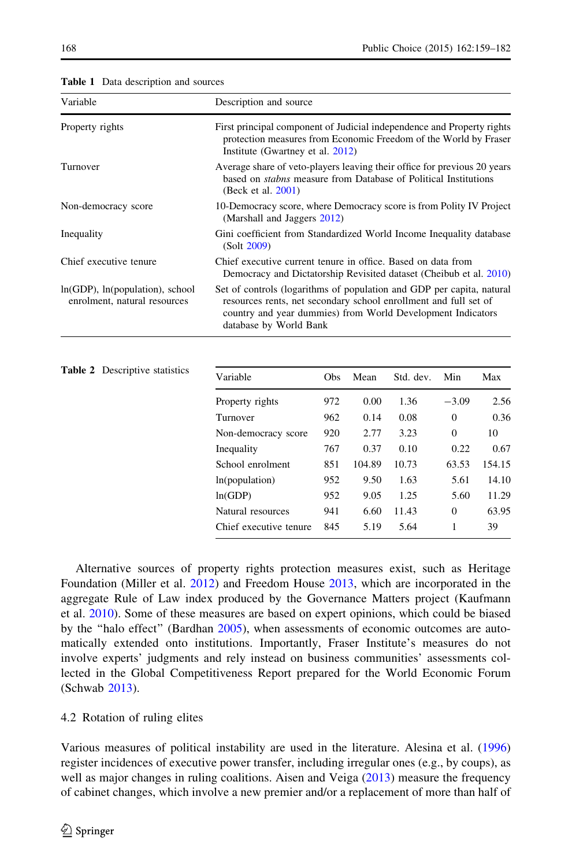$\circledcirc$  Springer

<span id="page-9-0"></span>Table 1 Data description and sources

| Variable                                                              | Description and source                                                                                                                                                                                                             |  |  |  |  |
|-----------------------------------------------------------------------|------------------------------------------------------------------------------------------------------------------------------------------------------------------------------------------------------------------------------------|--|--|--|--|
| Property rights                                                       | First principal component of Judicial independence and Property rights<br>protection measures from Economic Freedom of the World by Fraser<br>Institute (Gwartney et al. 2012)                                                     |  |  |  |  |
| Turnover                                                              | Average share of veto-players leaving their office for previous 20 years<br>based on <i>stabns</i> measure from Database of Political Institutions<br>(Beck et al. $2001$ )                                                        |  |  |  |  |
| Non-democracy score                                                   | 10-Democracy score, where Democracy score is from Polity IV Project<br>(Marshall and Jaggers 2012)                                                                                                                                 |  |  |  |  |
| Inequality                                                            | Gini coefficient from Standardized World Income Inequality database<br>(Solt 2009)                                                                                                                                                 |  |  |  |  |
| Chief executive tenure                                                | Chief executive current tenure in office. Based on data from<br>Democracy and Dictatorship Revisited dataset (Cheibub et al. 2010)                                                                                                 |  |  |  |  |
| $ln(GDP)$ , $ln(population)$ , school<br>enrolment, natural resources | Set of controls (logarithms of population and GDP per capita, natural<br>resources rents, net secondary school enrollment and full set of<br>country and year dummies) from World Development Indicators<br>database by World Bank |  |  |  |  |

| <b>Table 2</b> Descriptive statistics |  |
|---------------------------------------|--|

| <b>Table 2</b> Descriptive statistics | Variable               | <b>Obs</b> | Mean   | Std. dev. | Min      | Max    |
|---------------------------------------|------------------------|------------|--------|-----------|----------|--------|
|                                       | Property rights        | 972        | 0.00   | 1.36      | $-3.09$  | 2.56   |
|                                       | Turnover               | 962        | 0.14   | 0.08      | $\theta$ | 0.36   |
|                                       | Non-democracy score    | 920        | 2.77   | 3.23      | $\theta$ | 10     |
|                                       | Inequality             | 767        | 0.37   | 0.10      | 0.22     | 0.67   |
|                                       | School enrolment       | 851        | 104.89 | 10.73     | 63.53    | 154.15 |
|                                       | ln(population)         | 952        | 9.50   | 1.63      | 5.61     | 14.10  |
|                                       | ln(GDP)                | 952        | 9.05   | 1.25      | 5.60     | 11.29  |
|                                       | Natural resources      | 941        | 6.60   | 11.43     | $\theta$ | 63.95  |
|                                       | Chief executive tenure | 845        | 5.19   | 5.64      |          | 39     |

Alternative sources of property rights protection measures exist, such as Heritage Foundation (Miller et al. [2012](#page-23-0)) and Freedom House [2013,](#page-22-0) which are incorporated in the aggregate Rule of Law index produced by the Governance Matters project (Kaufmann et al. [2010](#page-22-0)). Some of these measures are based on expert opinions, which could be biased by the ''halo effect'' (Bardhan [2005](#page-21-0)), when assessments of economic outcomes are automatically extended onto institutions. Importantly, Fraser Institute's measures do not involve experts' judgments and rely instead on business communities' assessments collected in the Global Competitiveness Report prepared for the World Economic Forum (Schwab [2013\)](#page-23-0).

# 4.2 Rotation of ruling elites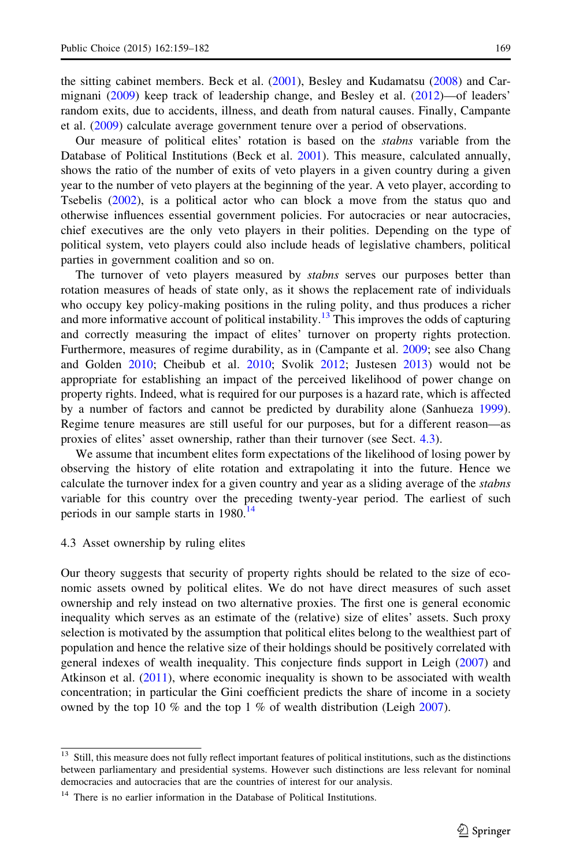<span id="page-10-0"></span>the sitting cabinet members. Beck et al. [\(2001](#page-21-0)), Besley and Kudamatsu [\(2008](#page-22-0)) and Carmignani [\(2009\)](#page-22-0) keep track of leadership change, and Besley et al. [\(2012](#page-22-0))—of leaders' random exits, due to accidents, illness, and death from natural causes. Finally, Campante et al. [\(2009](#page-22-0)) calculate average government tenure over a period of observations.

Our measure of political elites' rotation is based on the stabns variable from the Database of Political Institutions (Beck et al. [2001\)](#page-21-0). This measure, calculated annually, shows the ratio of the number of exits of veto players in a given country during a given year to the number of veto players at the beginning of the year. A veto player, according to Tsebelis [\(2002](#page-23-0)), is a political actor who can block a move from the status quo and otherwise influences essential government policies. For autocracies or near autocracies, chief executives are the only veto players in their polities. Depending on the type of political system, veto players could also include heads of legislative chambers, political parties in government coalition and so on.

The turnover of veto players measured by *stabns* serves our purposes better than rotation measures of heads of state only, as it shows the replacement rate of individuals who occupy key policy-making positions in the ruling polity, and thus produces a richer and more informative account of political instability.<sup>13</sup> This improves the odds of capturing and correctly measuring the impact of elites' turnover on property rights protection. Furthermore, measures of regime durability, as in (Campante et al. [2009](#page-22-0); see also Chang and Golden [2010;](#page-22-0) Cheibub et al. [2010;](#page-22-0) Svolik [2012](#page-23-0); Justesen [2013\)](#page-22-0) would not be appropriate for establishing an impact of the perceived likelihood of power change on property rights. Indeed, what is required for our purposes is a hazard rate, which is affected by a number of factors and cannot be predicted by durability alone (Sanhueza [1999](#page-23-0)). Regime tenure measures are still useful for our purposes, but for a different reason—as proxies of elites' asset ownership, rather than their turnover (see Sect. 4.3).

We assume that incumbent elites form expectations of the likelihood of losing power by observing the history of elite rotation and extrapolating it into the future. Hence we calculate the turnover index for a given country and year as a sliding average of the *stabns* variable for this country over the preceding twenty-year period. The earliest of such periods in our sample starts in 1980.<sup>14</sup>

# 4.3 Asset ownership by ruling elites

Our theory suggests that security of property rights should be related to the size of economic assets owned by political elites. We do not have direct measures of such asset ownership and rely instead on two alternative proxies. The first one is general economic inequality which serves as an estimate of the (relative) size of elites' assets. Such proxy selection is motivated by the assumption that political elites belong to the wealthiest part of population and hence the relative size of their holdings should be positively correlated with general indexes of wealth inequality. This conjecture finds support in Leigh [\(2007](#page-22-0)) and Atkinson et al.  $(2011)$  $(2011)$ , where economic inequality is shown to be associated with wealth concentration; in particular the Gini coefficient predicts the share of income in a society owned by the top 10 % and the top 1 % of wealth distribution (Leigh [2007](#page-22-0)).

<sup>&</sup>lt;sup>13</sup> Still, this measure does not fully reflect important features of political institutions, such as the distinctions between parliamentary and presidential systems. However such distinctions are less relevant for nominal democracies and autocracies that are the countries of interest for our analysis.

<sup>&</sup>lt;sup>14</sup> There is no earlier information in the Database of Political Institutions.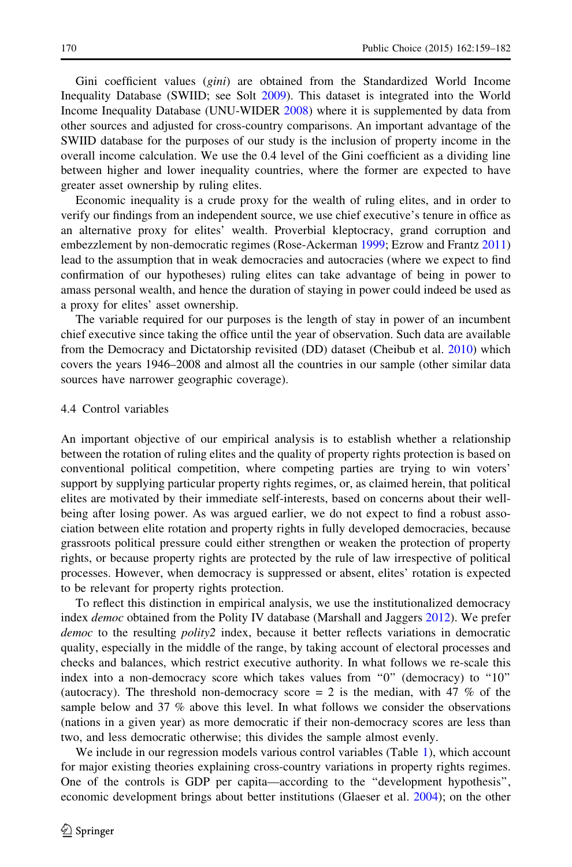Gini coefficient values (gini) are obtained from the Standardized World Income Inequality Database (SWIID; see Solt [2009](#page-23-0)). This dataset is integrated into the World Income Inequality Database (UNU-WIDER [2008](#page-23-0)) where it is supplemented by data from other sources and adjusted for cross-country comparisons. An important advantage of the SWIID database for the purposes of our study is the inclusion of property income in the overall income calculation. We use the 0.4 level of the Gini coefficient as a dividing line between higher and lower inequality countries, where the former are expected to have greater asset ownership by ruling elites.

Economic inequality is a crude proxy for the wealth of ruling elites, and in order to verify our findings from an independent source, we use chief executive's tenure in office as an alternative proxy for elites' wealth. Proverbial kleptocracy, grand corruption and embezzlement by non-democratic regimes (Rose-Ackerman [1999;](#page-23-0) Ezrow and Frantz [2011](#page-22-0)) lead to the assumption that in weak democracies and autocracies (where we expect to find confirmation of our hypotheses) ruling elites can take advantage of being in power to amass personal wealth, and hence the duration of staying in power could indeed be used as a proxy for elites' asset ownership.

The variable required for our purposes is the length of stay in power of an incumbent chief executive since taking the office until the year of observation. Such data are available from the Democracy and Dictatorship revisited (DD) dataset (Cheibub et al. [2010](#page-22-0)) which covers the years 1946–2008 and almost all the countries in our sample (other similar data sources have narrower geographic coverage).

#### 4.4 Control variables

An important objective of our empirical analysis is to establish whether a relationship between the rotation of ruling elites and the quality of property rights protection is based on conventional political competition, where competing parties are trying to win voters' support by supplying particular property rights regimes, or, as claimed herein, that political elites are motivated by their immediate self-interests, based on concerns about their wellbeing after losing power. As was argued earlier, we do not expect to find a robust association between elite rotation and property rights in fully developed democracies, because grassroots political pressure could either strengthen or weaken the protection of property rights, or because property rights are protected by the rule of law irrespective of political processes. However, when democracy is suppressed or absent, elites' rotation is expected to be relevant for property rights protection.

To reflect this distinction in empirical analysis, we use the institutionalized democracy index democ obtained from the Polity IV database (Marshall and Jaggers [2012](#page-23-0)). We prefer democ to the resulting *polity2* index, because it better reflects variations in democratic quality, especially in the middle of the range, by taking account of electoral processes and checks and balances, which restrict executive authority. In what follows we re-scale this index into a non-democracy score which takes values from "0" (democracy) to "10" (autocracy). The threshold non-democracy score  $= 2$  is the median, with 47 % of the sample below and 37 % above this level. In what follows we consider the observations (nations in a given year) as more democratic if their non-democracy scores are less than two, and less democratic otherwise; this divides the sample almost evenly.

We include in our regression models various control variables (Table [1](#page-9-0)), which account for major existing theories explaining cross-country variations in property rights regimes. One of the controls is GDP per capita—according to the ''development hypothesis'', economic development brings about better institutions (Glaeser et al. [2004\)](#page-22-0); on the other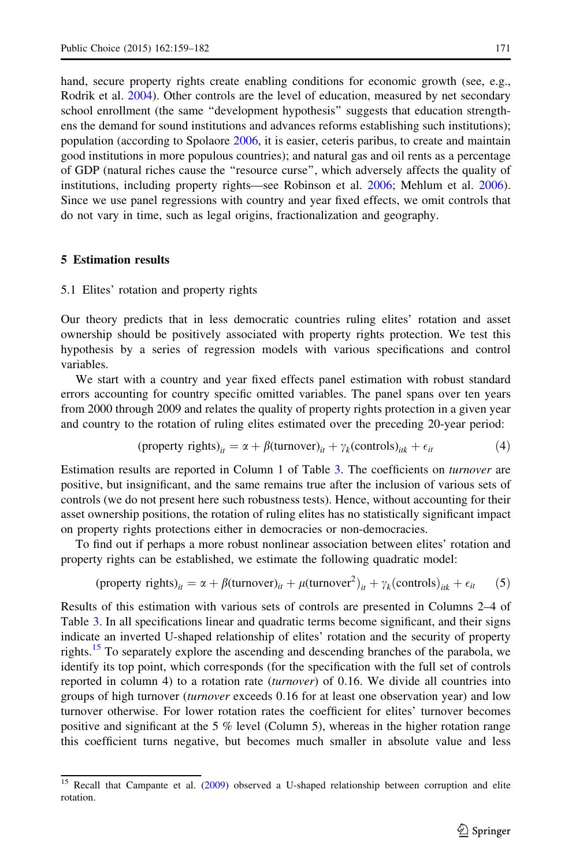<span id="page-12-0"></span>hand, secure property rights create enabling conditions for economic growth (see, e.g., Rodrik et al. [2004](#page-23-0)). Other controls are the level of education, measured by net secondary school enrollment (the same ''development hypothesis'' suggests that education strengthens the demand for sound institutions and advances reforms establishing such institutions); population (according to Spolaore [2006](#page-23-0), it is easier, ceteris paribus, to create and maintain good institutions in more populous countries); and natural gas and oil rents as a percentage of GDP (natural riches cause the ''resource curse'', which adversely affects the quality of institutions, including property rights—see Robinson et al. [2006](#page-23-0); Mehlum et al. [2006](#page-23-0)). Since we use panel regressions with country and year fixed effects, we omit controls that do not vary in time, such as legal origins, fractionalization and geography.

# 5 Estimation results

# 5.1 Elites' rotation and property rights

Our theory predicts that in less democratic countries ruling elites' rotation and asset ownership should be positively associated with property rights protection. We test this hypothesis by a series of regression models with various specifications and control variables.

We start with a country and year fixed effects panel estimation with robust standard errors accounting for country specific omitted variables. The panel spans over ten years from 2000 through 2009 and relates the quality of property rights protection in a given year and country to the rotation of ruling elites estimated over the preceding 20-year period:

$$
(\text{property rights})_{it} = \alpha + \beta(\text{turnover})_{it} + \gamma_k(\text{controls})_{itk} + \epsilon_{it} \tag{4}
$$

Estimation results are reported in Column 1 of Table [3.](#page-13-0) The coefficients on turnover are positive, but insignificant, and the same remains true after the inclusion of various sets of controls (we do not present here such robustness tests). Hence, without accounting for their asset ownership positions, the rotation of ruling elites has no statistically significant impact on property rights protections either in democracies or non-democracies.

To find out if perhaps a more robust nonlinear association between elites' rotation and property rights can be established, we estimate the following quadratic model:

$$
(\text{property rights})_{it} = \alpha + \beta(\text{turnover})_{it} + \mu(\text{turnover}^2)_{it} + \gamma_k(\text{controls})_{it} + \epsilon_{it} \tag{5}
$$

Results of this estimation with various sets of controls are presented in Columns 2–4 of Table [3](#page-13-0). In all specifications linear and quadratic terms become significant, and their signs indicate an inverted U-shaped relationship of elites' rotation and the security of property rights.15 To separately explore the ascending and descending branches of the parabola, we identify its top point, which corresponds (for the specification with the full set of controls reported in column 4) to a rotation rate (turnover) of 0.16. We divide all countries into groups of high turnover (turnover exceeds 0.16 for at least one observation year) and low turnover otherwise. For lower rotation rates the coefficient for elites' turnover becomes positive and significant at the 5 % level (Column 5), whereas in the higher rotation range this coefficient turns negative, but becomes much smaller in absolute value and less

Recall that Campante et al. [\(2009](#page-22-0)) observed a U-shaped relationship between corruption and elite rotation.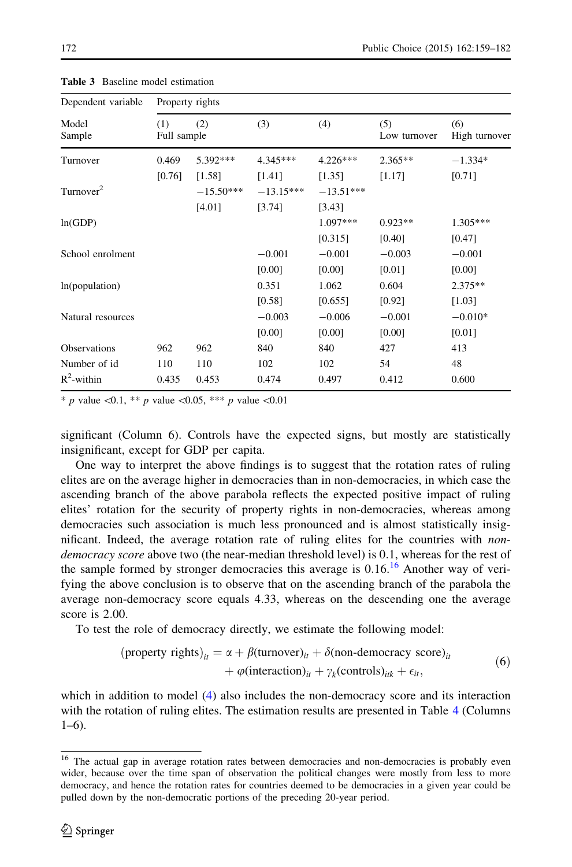| Dependent variable    | Property rights    |             |             |             |                     |                      |  |
|-----------------------|--------------------|-------------|-------------|-------------|---------------------|----------------------|--|
| Model<br>Sample       | (1)<br>Full sample | (2)         | (3)         | (4)         | (5)<br>Low turnover | (6)<br>High turnover |  |
| Turnover              | 0.469              | 5.392 ***   | 4.345***    | $4.226***$  | $2.365**$           | $-1.334*$            |  |
|                       | [0.76]             | [1.58]      | [1.41]      | [1.35]      | [1.17]              | [0.71]               |  |
| Turnover <sup>2</sup> |                    | $-15.50***$ | $-13.15***$ | $-13.51***$ |                     |                      |  |
|                       |                    | [4.01]      | [3.74]      | [3.43]      |                     |                      |  |
| ln(GDP)               |                    |             |             | $1.097***$  | $0.923**$           | $1.305***$           |  |
|                       |                    |             |             | [0.315]     | [0.40]              | [0.47]               |  |
| School enrolment      |                    |             | $-0.001$    | $-0.001$    | $-0.003$            | $-0.001$             |  |
|                       |                    |             | [0.00]      | [0.00]      | [0.01]              | [0.00]               |  |
| ln(population)        |                    |             | 0.351       | 1.062       | 0.604               | $2.375**$            |  |
|                       |                    |             | [0.58]      | [0.655]     | [0.92]              | [1.03]               |  |
| Natural resources     |                    |             | $-0.003$    | $-0.006$    | $-0.001$            | $-0.010*$            |  |
|                       |                    |             | [0.00]      | [0.00]      | [0.00]              | [0.01]               |  |
| <b>Observations</b>   | 962                | 962         | 840         | 840         | 427                 | 413                  |  |
| Number of id          | 110                | 110         | 102         | 102         | 54                  | 48                   |  |
| $R^2$ -within         | 0.435              | 0.453       | 0.474       | 0.497       | 0.412               | 0.600                |  |

<span id="page-13-0"></span>Table 3 Baseline model estimation

\* p value  $\le 0.1$ , \*\* p value  $\le 0.05$ , \*\*\* p value  $\le 0.01$ 

significant (Column 6). Controls have the expected signs, but mostly are statistically insignificant, except for GDP per capita.

One way to interpret the above findings is to suggest that the rotation rates of ruling elites are on the average higher in democracies than in non-democracies, in which case the ascending branch of the above parabola reflects the expected positive impact of ruling elites' rotation for the security of property rights in non-democracies, whereas among democracies such association is much less pronounced and is almost statistically insignificant. Indeed, the average rotation rate of ruling elites for the countries with *non*democracy score above two (the near-median threshold level) is 0.1, whereas for the rest of the sample formed by stronger democracies this average is  $0.16<sup>16</sup>$  Another way of verifying the above conclusion is to observe that on the ascending branch of the parabola the average non-democracy score equals 4:33, whereas on the descending one the average score is 2.00.

To test the role of democracy directly, we estimate the following model:

$$
(\text{property rights})_{it} = \alpha + \beta(\text{turnover})_{it} + \delta(\text{non-democracy score})_{it}
$$
  
+  $\varphi(\text{interaction})_{it} + \gamma_k(\text{controls})_{itk} + \epsilon_{it},$  (6)

which in addition to model ([4](#page-12-0)) also includes the non-democracy score and its interaction with the rotation of ruling elites. The estimation results are presented in Table [4](#page-15-0) (Columns  $1-6$ ).

<sup>&</sup>lt;sup>16</sup> The actual gap in average rotation rates between democracies and non-democracies is probably even wider, because over the time span of observation the political changes were mostly from less to more democracy, and hence the rotation rates for countries deemed to be democracies in a given year could be pulled down by the non-democratic portions of the preceding 20-year period.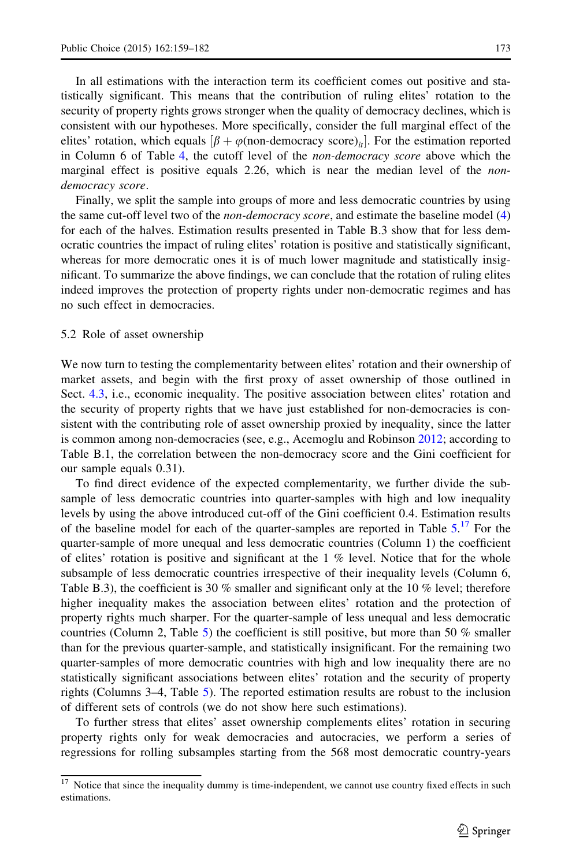In all estimations with the interaction term its coefficient comes out positive and statistically significant. This means that the contribution of ruling elites' rotation to the security of property rights grows stronger when the quality of democracy declines, which is consistent with our hypotheses. More specifically, consider the full marginal effect of the elites' rotation, which equals  $\left[\beta + \varphi(non$ -democracy score)<sub>it</sub>. For the estimation reported in Column 6 of Table [4](#page-15-0), the cutoff level of the non-democracy score above which the marginal effect is positive equals 2.26, which is near the median level of the *non*democracy score.

Finally, we split the sample into groups of more and less democratic countries by using the same cut-off level two of the *non-democracy score*, and estimate the baseline model ([4](#page-12-0)) for each of the halves. Estimation results presented in Table B.3 show that for less democratic countries the impact of ruling elites' rotation is positive and statistically significant, whereas for more democratic ones it is of much lower magnitude and statistically insignificant. To summarize the above findings, we can conclude that the rotation of ruling elites indeed improves the protection of property rights under non-democratic regimes and has no such effect in democracies.

#### 5.2 Role of asset ownership

We now turn to testing the complementarity between elites' rotation and their ownership of market assets, and begin with the first proxy of asset ownership of those outlined in Sect. [4.3](#page-10-0), i.e., economic inequality. The positive association between elites' rotation and the security of property rights that we have just established for non-democracies is consistent with the contributing role of asset ownership proxied by inequality, since the latter is common among non-democracies (see, e.g., Acemoglu and Robinson [2012](#page-21-0); according to Table B.1, the correlation between the non-democracy score and the Gini coefficient for our sample equals  $0.31$ ).

To find direct evidence of the expected complementarity, we further divide the subsample of less democratic countries into quarter-samples with high and low inequality levels by using the above introduced cut-off of the Gini coefficient 0:4. Estimation results of the baseline model for each of the quarter-samples are reported in Table  $5<sup>17</sup>$  $5<sup>17</sup>$  For the quarter-sample of more unequal and less democratic countries (Column 1) the coefficient of elites' rotation is positive and significant at the 1 % level. Notice that for the whole subsample of less democratic countries irrespective of their inequality levels (Column 6, Table B.3), the coefficient is 30  $\%$  smaller and significant only at the 10  $\%$  level; therefore higher inequality makes the association between elites' rotation and the protection of property rights much sharper. For the quarter-sample of less unequal and less democratic countries (Column 2, Table [5](#page-16-0)) the coefficient is still positive, but more than 50 % smaller than for the previous quarter-sample, and statistically insignificant. For the remaining two quarter-samples of more democratic countries with high and low inequality there are no statistically significant associations between elites' rotation and the security of property rights (Columns 3–4, Table [5\)](#page-16-0). The reported estimation results are robust to the inclusion of different sets of controls (we do not show here such estimations).

To further stress that elites' asset ownership complements elites' rotation in securing property rights only for weak democracies and autocracies, we perform a series of regressions for rolling subsamples starting from the 568 most democratic country-years

 $17$  Notice that since the inequality dummy is time-independent, we cannot use country fixed effects in such estimations.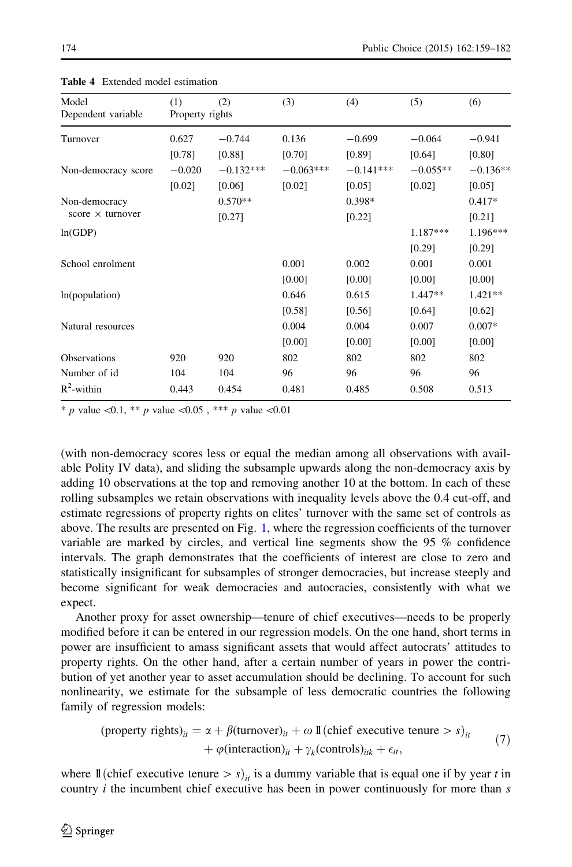| Model<br>Dependent variable | (1)<br>Property rights | (2)         | (3)         | (4)         | (5)        | (6)        |
|-----------------------------|------------------------|-------------|-------------|-------------|------------|------------|
| Turnover                    | 0.627                  | $-0.744$    | 0.136       | $-0.699$    | $-0.064$   | $-0.941$   |
|                             | [0.78]                 | [0.88]      | [0.70]      | [0.89]      | [0.64]     | [0.80]     |
| Non-democracy score         | $-0.020$               | $-0.132***$ | $-0.063***$ | $-0.141***$ | $-0.055**$ | $-0.136**$ |
|                             | [0.02]                 | [0.06]      | [0.02]      | [0.05]      | [0.02]     | [0.05]     |
| Non-democracy               |                        | $0.570**$   |             | $0.398*$    |            | $0.417*$   |
| score $\times$ turnover     |                        | [0.27]      |             | [0.22]      |            | [0.21]     |
| ln(GDP)                     |                        |             |             |             | $1.187***$ | 1.196***   |
|                             |                        |             |             |             | [0.29]     | [0.29]     |
| School enrolment            |                        |             | 0.001       | 0.002       | 0.001      | 0.001      |
|                             |                        |             | [0.00]      | [0.00]      | [0.00]     | [0.00]     |
| In(population)              |                        |             | 0.646       | 0.615       | $1.447**$  | $1.421**$  |
|                             |                        |             | [0.58]      | [0.56]      | [0.64]     | [0.62]     |
| Natural resources           |                        |             | 0.004       | 0.004       | 0.007      | $0.007*$   |
|                             |                        |             | [0.00]      | [0.00]      | [0.00]     | [0.00]     |
| Observations                | 920                    | 920         | 802         | 802         | 802        | 802        |
| Number of id                | 104                    | 104         | 96          | 96          | 96         | 96         |
| $R^2$ -within               | 0.443                  | 0.454       | 0.481       | 0.485       | 0.508      | 0.513      |
|                             |                        |             |             |             |            |            |

<span id="page-15-0"></span>Table 4 Extended model estimation

\* p value  $\lt 0.1$ , \*\* p value  $\lt 0.05$ , \*\*\* p value  $\lt 0.01$ 

(with non-democracy scores less or equal the median among all observations with available Polity IV data), and sliding the subsample upwards along the non-democracy axis by adding 10 observations at the top and removing another 10 at the bottom. In each of these rolling subsamples we retain observations with inequality levels above the 0:4 cut-off, and estimate regressions of property rights on elites' turnover with the same set of controls as above. The results are presented on Fig. [1](#page-17-0), where the regression coefficients of the turnover variable are marked by circles, and vertical line segments show the 95 % confidence intervals. The graph demonstrates that the coefficients of interest are close to zero and statistically insignificant for subsamples of stronger democracies, but increase steeply and become significant for weak democracies and autocracies, consistently with what we expect.

Another proxy for asset ownership—tenure of chief executives—needs to be properly modified before it can be entered in our regression models. On the one hand, short terms in power are insufficient to amass significant assets that would affect autocrats' attitudes to property rights. On the other hand, after a certain number of years in power the contribution of yet another year to asset accumulation should be declining. To account for such nonlinearity, we estimate for the subsample of less democratic countries the following family of regression models:

$$
(\text{property rights})_{it} = \alpha + \beta(\text{turnover})_{it} + \omega \mathbb{1}(\text{chief executive tenure} > s)_{it}
$$
  
+  $\varphi(\text{interaction})_{it} + \gamma_k(\text{controls})_{it} + \epsilon_{it},$  (7)

where 11 (chief executive tenure  $> s$ )<sub>it</sub> is a dummy variable that is equal one if by year t in country *i* the incumbent chief executive has been in power continuously for more than *s*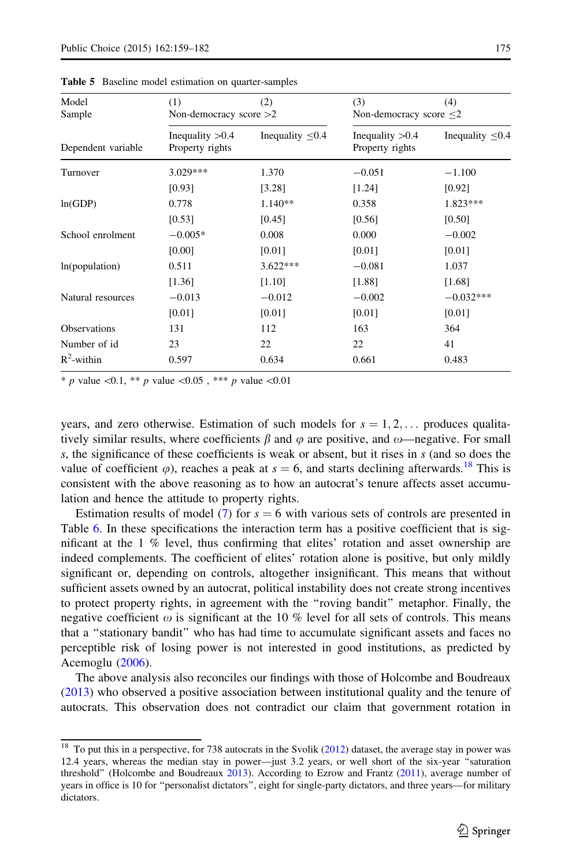| Model<br>Sample    | (1)<br>Non-democracy score $>2$      | (2)                   | (3)<br>(4)<br>Non-democracy score $\leq$ 2 |                       |  |  |
|--------------------|--------------------------------------|-----------------------|--------------------------------------------|-----------------------|--|--|
| Dependent variable | Inequality $>0.4$<br>Property rights | Inequality $\leq 0.4$ | Inequality $>0.4$<br>Property rights       | Inequality $\leq 0.4$ |  |  |
| Turnover           | $3.029***$                           | 1.370                 | $-0.051$                                   | $-1.100$              |  |  |
|                    | [0.93]                               | [3.28]                | [1.24]                                     | [0.92]                |  |  |
| ln(GDP)            | 0.778                                | $1.140**$             | 0.358                                      | $1.823***$            |  |  |
|                    | [0.53]                               | [0.45]                | [0.56]                                     | [0.50]                |  |  |
| School enrolment   | $-0.005*$                            | 0.008                 | 0.000                                      | $-0.002$              |  |  |
|                    | [0.00]                               | [0.01]                | [0.01]                                     | [0.01]                |  |  |
| ln(population)     | 0.511                                | $3.622***$            | $-0.081$                                   | 1.037                 |  |  |
|                    | [1.36]                               | [1.10]                | [1.88]                                     | [1.68]                |  |  |
| Natural resources  | $-0.013$                             | $-0.012$              | $-0.002$                                   | $-0.032***$           |  |  |
|                    | [0.01]                               | [0.01]                | [0.01]                                     | [0.01]                |  |  |
| Observations       | 131                                  | 112                   | 163                                        | 364                   |  |  |
| Number of id       | 23                                   | 22                    | 22                                         | 41                    |  |  |
| $R^2$ -within      | 0.597                                | 0.634                 | 0.661                                      | 0.483                 |  |  |

<span id="page-16-0"></span>Table 5 Baseline model estimation on quarter-samples

\* p value  $\lt 0.1$ , \*\* p value  $\lt 0.05$ , \*\*\* p value  $\lt 0.01$ 

years, and zero otherwise. Estimation of such models for  $s = 1, 2, \ldots$  produces qualitatively similar results, where coefficients  $\beta$  and  $\varphi$  are positive, and  $\omega$ —negative. For small s, the significance of these coefficients is weak or absent, but it rises in  $s$  (and so does the value of coefficient  $\varphi$ ), reaches a peak at  $s = 6$ , and starts declining afterwards.<sup>18</sup> This is consistent with the above reasoning as to how an autocrat's tenure affects asset accumulation and hence the attitude to property rights.

Estimation results of model ([7](#page-15-0)) for  $s = 6$  with various sets of controls are presented in Table [6](#page-18-0). In these specifications the interaction term has a positive coefficient that is significant at the 1 % level, thus confirming that elites' rotation and asset ownership are indeed complements. The coefficient of elites' rotation alone is positive, but only mildly significant or, depending on controls, altogether insignificant. This means that without sufficient assets owned by an autocrat, political instability does not create strong incentives to protect property rights, in agreement with the ''roving bandit'' metaphor. Finally, the negative coefficient  $\omega$  is significant at the 10 % level for all sets of controls. This means that a ''stationary bandit'' who has had time to accumulate significant assets and faces no perceptible risk of losing power is not interested in good institutions, as predicted by Acemoglu ([2006\)](#page-21-0).

The above analysis also reconciles our findings with those of Holcombe and Boudreaux ([2013\)](#page-22-0) who observed a positive association between institutional quality and the tenure of autocrats. This observation does not contradict our claim that government rotation in

<sup>&</sup>lt;sup>18</sup> To put this in a perspective, for 738 autocrats in the Svolik ([2012](#page-23-0)) dataset, the average stay in power was 12:4 years, whereas the median stay in power—just 3:2 years, or well short of the six-year ''saturation threshold" (Holcombe and Boudreaux  $2013$ ). According to Ezrow and Frantz  $(2011)$  $(2011)$  $(2011)$ , average number of years in office is 10 for ''personalist dictators'', eight for single-party dictators, and three years—for military dictators.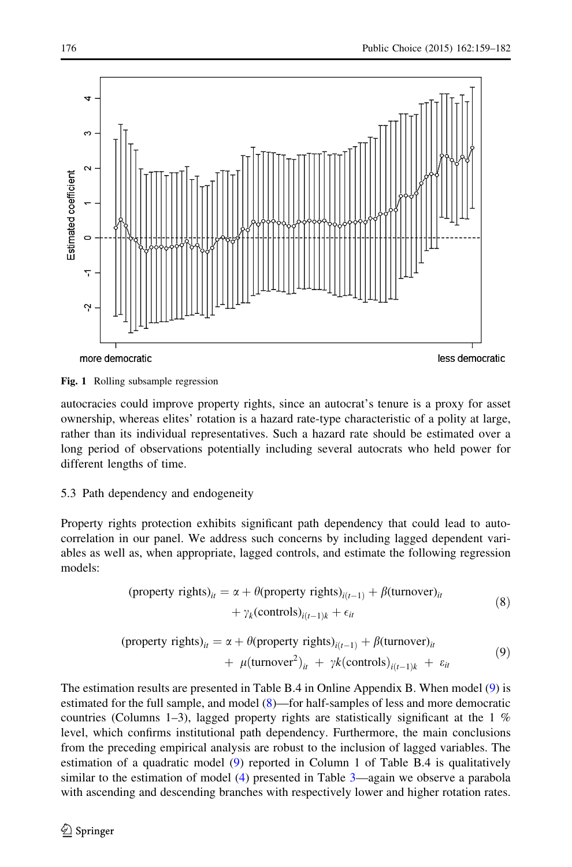<span id="page-17-0"></span>

Fig. 1 Rolling subsample regression

autocracies could improve property rights, since an autocrat's tenure is a proxy for asset ownership, whereas elites' rotation is a hazard rate-type characteristic of a polity at large, rather than its individual representatives. Such a hazard rate should be estimated over a long period of observations potentially including several autocrats who held power for different lengths of time.

# 5.3 Path dependency and endogeneity

Property rights protection exhibits significant path dependency that could lead to autocorrelation in our panel. We address such concerns by including lagged dependent variables as well as, when appropriate, lagged controls, and estimate the following regression models:

$$
(\text{property rights})_{it} = \alpha + \theta(\text{property rights})_{i(t-1)} + \beta(\text{turnover})_{it}
$$
  
+  $\gamma_k(\text{controls})_{i(t-1)k} + \epsilon_{it}$  (8)

$$
(\text{property rights})_{it} = \alpha + \theta(\text{property rights})_{i(t-1)} + \beta(\text{turnover})_{it}
$$
  
+  $\mu(\text{turnover}^2)_{it} + \gamma k(\text{controls})_{i(t-1)k} + \varepsilon_{it}$  (9)

The estimation results are presented in Table B.4 in Online Appendix B. When model (9) is estimated for the full sample, and model (8)—for half-samples of less and more democratic countries (Columns 1–3), lagged property rights are statistically significant at the 1  $%$ level, which confirms institutional path dependency. Furthermore, the main conclusions from the preceding empirical analysis are robust to the inclusion of lagged variables. The estimation of a quadratic model (9) reported in Column 1 of Table B.4 is qualitatively similar to the estimation of model ([4\)](#page-12-0) presented in Table [3—](#page-13-0)again we observe a parabola with ascending and descending branches with respectively lower and higher rotation rates.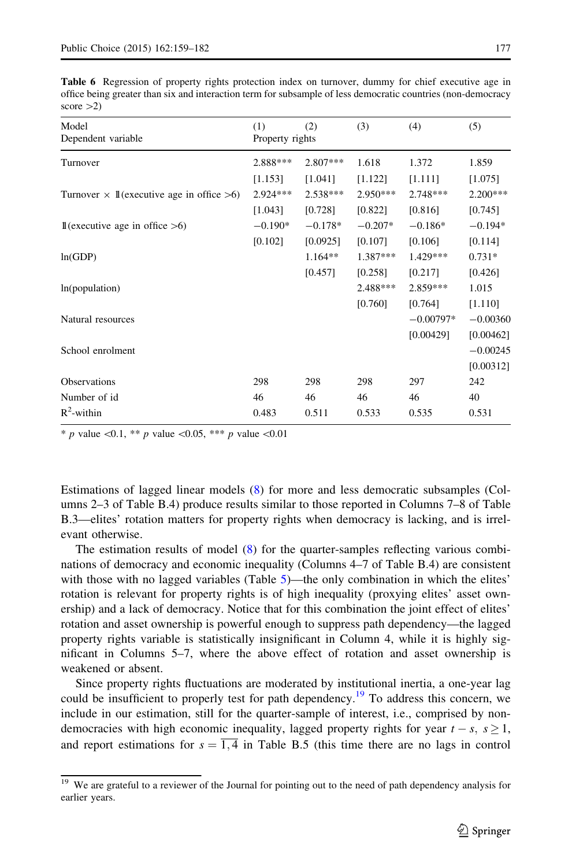| Model                                               | (1)        | (2)             | (3)       | (4)         | (5)        |  |
|-----------------------------------------------------|------------|-----------------|-----------|-------------|------------|--|
| Dependent variable                                  |            | Property rights |           |             |            |  |
| Turnover                                            | 2.888***   | $2.807***$      | 1.618     | 1.372       | 1.859      |  |
|                                                     | [1.153]    | [1.041]         | [1.122]   | [1.111]     | [1.075]    |  |
| Turnover $\times$ 1 (executive age in office $>6$ ) | $2.924***$ | 2.538***        | 2.950***  | 2.748***    | $2.200***$ |  |
|                                                     | [1.043]    | [0.728]         | [0.822]   | [0.816]     | [0.745]    |  |
| $\mathbb{1}$ (executive age in office $>6$ )        | $-0.190*$  | $-0.178*$       | $-0.207*$ | $-0.186*$   | $-0.194*$  |  |
|                                                     | [0.102]    | [0.0925]        | [0.107]   | [0.106]     | [0.114]    |  |
| ln(GDP)                                             |            | $1.164**$       | 1.387***  | $1.429***$  | $0.731*$   |  |
|                                                     |            | [0.457]         | [0.258]   | [0.217]     | [0.426]    |  |
| ln(population)                                      |            |                 | 2.488***  | $2.859***$  | 1.015      |  |
|                                                     |            |                 | [0.760]   | [0.764]     | [1.110]    |  |
| Natural resources                                   |            |                 |           | $-0.00797*$ | $-0.00360$ |  |
|                                                     |            |                 |           | [0.00429]   | [0.00462]  |  |
| School enrolment                                    |            |                 |           |             | $-0.00245$ |  |
|                                                     |            |                 |           |             | [0.00312]  |  |
| Observations                                        | 298        | 298             | 298       | 297         | 242        |  |
| Number of id                                        | 46         | 46              | 46        | 46          | 40         |  |
| $R^2$ -within                                       | 0.483      | 0.511           | 0.533     | 0.535       | 0.531      |  |

<span id="page-18-0"></span>Table 6 Regression of property rights protection index on turnover, dummy for chief executive age in office being greater than six and interaction term for subsample of less democratic countries (non-democracy score  $>2$ )

\* p value  $\leq 0.1$ , \*\* p value  $\leq 0.05$ , \*\*\* p value  $\leq 0.01$ 

Estimations of lagged linear models [\(8\)](#page-17-0) for more and less democratic subsamples (Columns 2–3 of Table B.4) produce results similar to those reported in Columns 7–8 of Table B.3—elites' rotation matters for property rights when democracy is lacking, and is irrelevant otherwise.

The estimation results of model ([8](#page-17-0)) for the quarter-samples reflecting various combinations of democracy and economic inequality (Columns 4–7 of Table B.4) are consistent with those with no lagged variables (Table [5](#page-16-0))—the only combination in which the elites' rotation is relevant for property rights is of high inequality (proxying elites' asset ownership) and a lack of democracy. Notice that for this combination the joint effect of elites' rotation and asset ownership is powerful enough to suppress path dependency—the lagged property rights variable is statistically insignificant in Column 4, while it is highly significant in Columns 5–7, where the above effect of rotation and asset ownership is weakened or absent.

Since property rights fluctuations are moderated by institutional inertia, a one-year lag could be insufficient to properly test for path dependency.<sup>19</sup> To address this concern, we include in our estimation, still for the quarter-sample of interest, i.e., comprised by nondemocracies with high economic inequality, lagged property rights for year  $t - s$ ,  $s \ge 1$ , and report estimations for  $s = \overline{1,4}$  in Table B.5 (this time there are no lags in control

<sup>&</sup>lt;sup>19</sup> We are grateful to a reviewer of the Journal for pointing out to the need of path dependency analysis for earlier years.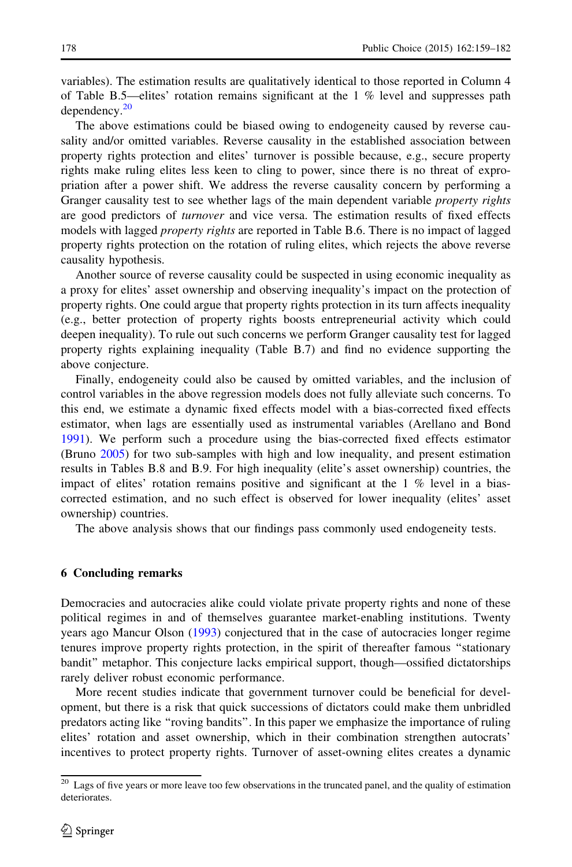<span id="page-19-0"></span>variables). The estimation results are qualitatively identical to those reported in Column 4 of Table B.5—elites' rotation remains significant at the 1 % level and suppresses path dependency.20

The above estimations could be biased owing to endogeneity caused by reverse causality and/or omitted variables. Reverse causality in the established association between property rights protection and elites' turnover is possible because, e.g., secure property rights make ruling elites less keen to cling to power, since there is no threat of expropriation after a power shift. We address the reverse causality concern by performing a Granger causality test to see whether lags of the main dependent variable *property rights* are good predictors of turnover and vice versa. The estimation results of fixed effects models with lagged *property rights* are reported in Table B.6. There is no impact of lagged property rights protection on the rotation of ruling elites, which rejects the above reverse causality hypothesis.

Another source of reverse causality could be suspected in using economic inequality as a proxy for elites' asset ownership and observing inequality's impact on the protection of property rights. One could argue that property rights protection in its turn affects inequality (e.g., better protection of property rights boosts entrepreneurial activity which could deepen inequality). To rule out such concerns we perform Granger causality test for lagged property rights explaining inequality (Table B.7) and find no evidence supporting the above conjecture.

Finally, endogeneity could also be caused by omitted variables, and the inclusion of control variables in the above regression models does not fully alleviate such concerns. To this end, we estimate a dynamic fixed effects model with a bias-corrected fixed effects estimator, when lags are essentially used as instrumental variables (Arellano and Bond [1991\)](#page-21-0). We perform such a procedure using the bias-corrected fixed effects estimator (Bruno [2005](#page-22-0)) for two sub-samples with high and low inequality, and present estimation results in Tables B.8 and B.9. For high inequality (elite's asset ownership) countries, the impact of elites' rotation remains positive and significant at the  $1\%$  level in a biascorrected estimation, and no such effect is observed for lower inequality (elites' asset ownership) countries.

The above analysis shows that our findings pass commonly used endogeneity tests.

#### 6 Concluding remarks

Democracies and autocracies alike could violate private property rights and none of these political regimes in and of themselves guarantee market-enabling institutions. Twenty years ago Mancur Olson ([1993\)](#page-23-0) conjectured that in the case of autocracies longer regime tenures improve property rights protection, in the spirit of thereafter famous ''stationary bandit'' metaphor. This conjecture lacks empirical support, though—ossified dictatorships rarely deliver robust economic performance.

More recent studies indicate that government turnover could be beneficial for development, but there is a risk that quick successions of dictators could make them unbridled predators acting like ''roving bandits''. In this paper we emphasize the importance of ruling elites' rotation and asset ownership, which in their combination strengthen autocrats' incentives to protect property rights. Turnover of asset-owning elites creates a dynamic

<sup>&</sup>lt;sup>20</sup> Lags of five years or more leave too few observations in the truncated panel, and the quality of estimation deteriorates.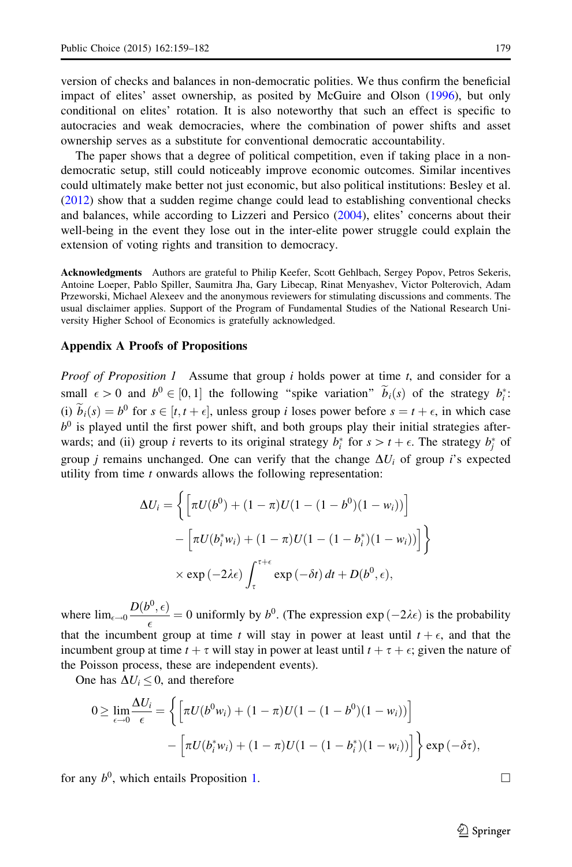<span id="page-20-0"></span>version of checks and balances in non-democratic polities. We thus confirm the beneficial impact of elites' asset ownership, as posited by McGuire and Olson [\(1996](#page-23-0)), but only conditional on elites' rotation. It is also noteworthy that such an effect is specific to autocracies and weak democracies, where the combination of power shifts and asset ownership serves as a substitute for conventional democratic accountability.

The paper shows that a degree of political competition, even if taking place in a nondemocratic setup, still could noticeably improve economic outcomes. Similar incentives could ultimately make better not just economic, but also political institutions: Besley et al. ([2012\)](#page-22-0) show that a sudden regime change could lead to establishing conventional checks and balances, while according to Lizzeri and Persico ([2004](#page-23-0)), elites' concerns about their well-being in the event they lose out in the inter-elite power struggle could explain the extension of voting rights and transition to democracy.

Acknowledgments Authors are grateful to Philip Keefer, Scott Gehlbach, Sergey Popov, Petros Sekeris, Antoine Loeper, Pablo Spiller, Saumitra Jha, Gary Libecap, Rinat Menyashev, Victor Polterovich, Adam Przeworski, Michael Alexeev and the anonymous reviewers for stimulating discussions and comments. The usual disclaimer applies. Support of the Program of Fundamental Studies of the National Research University Higher School of Economics is gratefully acknowledged.

#### Appendix A Proofs of Propositions

*Proof of Proposition 1* Assume that group  $i$  holds power at time  $t$ , and consider for a small  $\epsilon > 0$  and  $b^0 \in [0, 1]$  the following "spike variation"  $b_i(s)$  of the strategy  $b_i^*$ : (i)  $b_i(s) = b^0$  for  $s \in [t, t + \epsilon]$ , unless group *i* loses power before  $s = t + \epsilon$ , in which case  $b<sup>0</sup>$  is played until the first power shift, and both groups play their initial strategies afterwards; and (ii) group *i* reverts to its original strategy  $b_i^*$  for  $s > t + \epsilon$ . The strategy  $b_j^*$  of group *j* remains unchanged. One can verify that the change  $\Delta U_i$  of group *i*'s expected utility from time  $t$  onwards allows the following representation:

$$
\Delta U_i = \left\{ \left[ \pi U(b^0) + (1 - \pi)U(1 - (1 - b^0)(1 - w_i)) \right] - \left[ \pi U(b_i^* w_i) + (1 - \pi)U(1 - (1 - b_i^*)(1 - w_i)) \right] \right\}
$$
  
×  $\exp(-2\lambda\epsilon) \int_{\tau}^{\tau+\epsilon} \exp(-\delta t) dt + D(b^0, \epsilon),$ 

where  $\lim_{\epsilon \to 0} \frac{D(b^0, \epsilon)}{2}$  $\frac{\partial f}{\partial \epsilon}$  = 0 uniformly by  $b^0$ . (The expression exp  $(-2\lambda \epsilon)$  is the probability that the incumbent group at time t will stay in power at least until  $t + \epsilon$ , and that the incumbent group at time  $t + \tau$  will stay in power at least until  $t + \tau + \epsilon$ ; given the nature of the Poisson process, these are independent events).

One has  $\Delta U_i \leq 0$ , and therefore

$$
0 \ge \lim_{\epsilon \to 0} \frac{\Delta U_i}{\epsilon} = \left\{ \left[ \pi U(b^0 w_i) + (1 - \pi) U(1 - (1 - b^0)(1 - w_i)) \right] - \left[ \pi U(b_i^* w_i) + (1 - \pi) U(1 - (1 - b_i^*)(1 - w_i)) \right] \right\} \exp(-\delta \tau),
$$

for any  $b^0$ , which entails Proposition 1.

 $\textcircled{2}$  Springer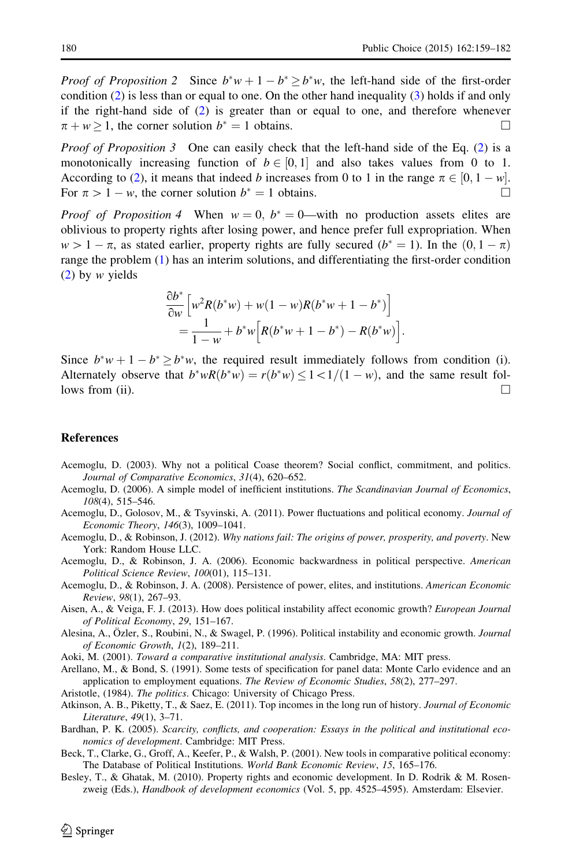<span id="page-21-0"></span>*Proof of Proposition 2* Since  $b^*w + 1 - b^* > b^*w$ , the left-hand side of the first-order condition [\(2\)](#page-6-0) is less than or equal to one. On the other hand inequality [\(3](#page-7-0)) holds if and only if the right-hand side of ([2\)](#page-6-0) is greater than or equal to one, and therefore whenever  $\pi + w > 1$ , the corner solution  $b^* = 1$  obtains.

*Proof of Proposition 3* One can easily check that the left-hand side of the Eq. [\(2\)](#page-6-0) is a monotonically increasing function of  $b \in [0,1]$  and also takes values from 0 to 1. According to ([2\)](#page-6-0), it means that indeed b increases from 0 to 1 in the range  $\pi \in [0, 1 - w]$ . For  $\pi > 1 - w$ , the corner solution  $b^* = 1$  obtains.

*Proof of Proposition 4* When  $w = 0$ ,  $b^* = 0$ —with no production assets elites are oblivious to property rights after losing power, and hence prefer full expropriation. When  $w>1 - \pi$ , as stated earlier, property rights are fully secured ( $b^* = 1$ ). In the  $(0, 1 - \pi)$ range the problem [\(1\)](#page-6-0) has an interim solutions, and differentiating the first-order condition ([2\)](#page-6-0) by w yields

$$
\frac{\partial b^*}{\partial w} \left[ w^2 R(b^* w) + w(1 - w) R(b^* w + 1 - b^*) \right] \n= \frac{1}{1 - w} + b^* w \left[ R(b^* w + 1 - b^*) - R(b^* w) \right].
$$

Since  $b^*w + 1 - b^* > b^*w$ , the required result immediately follows from condition (i). Alternately observe that  $b^*wR(b^*w) = r(b^*w) \leq 1\lt 1/(1-w)$ , and the same result follows from (ii).  $\Box$ 

# References

- Acemoglu, D. (2003). Why not a political Coase theorem? Social conflict, commitment, and politics. Journal of Comparative Economics, 31(4), 620–652.
- Acemoglu, D. (2006). A simple model of inefficient institutions. The Scandinavian Journal of Economics, 108(4), 515–546.
- Acemoglu, D., Golosov, M., & Tsyvinski, A. (2011). Power fluctuations and political economy. Journal of Economic Theory, 146(3), 1009–1041.
- Acemoglu, D., & Robinson, J. (2012). Why nations fail: The origins of power, prosperity, and poverty. New York: Random House LLC.
- Acemoglu, D., & Robinson, J. A. (2006). Economic backwardness in political perspective. American Political Science Review, 100(01), 115–131.
- Acemoglu, D., & Robinson, J. A. (2008). Persistence of power, elites, and institutions. American Economic Review, 98(1), 267–93.
- Aisen, A., & Veiga, F. J. (2013). How does political instability affect economic growth? European Journal of Political Economy, 29, 151–167.
- Alesina, A., Özler, S., Roubini, N., & Swagel, P. (1996). Political instability and economic growth. *Journal* of Economic Growth, 1(2), 189–211.
- Aoki, M. (2001). Toward a comparative institutional analysis. Cambridge, MA: MIT press.
- Arellano, M., & Bond, S. (1991). Some tests of specification for panel data: Monte Carlo evidence and an application to employment equations. The Review of Economic Studies, 58(2), 277–297.
- Aristotle, (1984). The politics. Chicago: University of Chicago Press.
- Atkinson, A. B., Piketty, T., & Saez, E. (2011). Top incomes in the long run of history. Journal of Economic Literature, 49(1), 3–71.
- Bardhan, P. K. (2005). Scarcity, conflicts, and cooperation: Essays in the political and institutional economics of development. Cambridge: MIT Press.
- Beck, T., Clarke, G., Groff, A., Keefer, P., & Walsh, P. (2001). New tools in comparative political economy: The Database of Political Institutions. World Bank Economic Review, 15, 165–176.
- Besley, T., & Ghatak, M. (2010). Property rights and economic development. In D. Rodrik & M. Rosenzweig (Eds.), Handbook of development economics (Vol. 5, pp. 4525–4595). Amsterdam: Elsevier.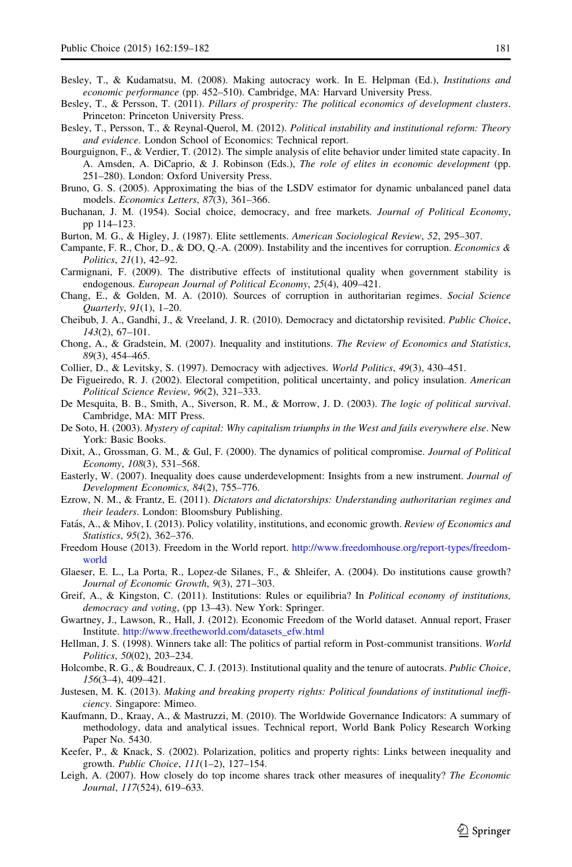- <span id="page-22-0"></span>Besley, T., & Kudamatsu, M. (2008). Making autocracy work. In E. Helpman (Ed.), Institutions and economic performance (pp. 452–510). Cambridge, MA: Harvard University Press.
- Besley, T., & Persson, T. (2011). Pillars of prosperity: The political economics of development clusters. Princeton: Princeton University Press.
- Besley, T., Persson, T., & Reynal-Querol, M. (2012). Political instability and institutional reform: Theory and evidence. London School of Economics: Technical report.
- Bourguignon, F., & Verdier, T. (2012). The simple analysis of elite behavior under limited state capacity. In A. Amsden, A. DiCaprio, & J. Robinson (Eds.), The role of elites in economic development (pp. 251–280). London: Oxford University Press.
- Bruno, G. S. (2005). Approximating the bias of the LSDV estimator for dynamic unbalanced panel data models. Economics Letters, 87(3), 361–366.
- Buchanan, J. M. (1954). Social choice, democracy, and free markets. Journal of Political Economy, pp 114–123.
- Burton, M. G., & Higley, J. (1987). Elite settlements. American Sociological Review, 52, 295–307.
- Campante, F. R., Chor, D., & DO, Q.-A. (2009). Instability and the incentives for corruption. Economics & Politics, 21(1), 42–92.
- Carmignani, F. (2009). The distributive effects of institutional quality when government stability is endogenous. European Journal of Political Economy, 25(4), 409–421.
- Chang, E., & Golden, M. A. (2010). Sources of corruption in authoritarian regimes. Social Science Quarterly, 91(1), 1–20.
- Cheibub, J. A., Gandhi, J., & Vreeland, J. R. (2010). Democracy and dictatorship revisited. Public Choice, 143(2), 67–101.
- Chong, A., & Gradstein, M. (2007). Inequality and institutions. The Review of Economics and Statistics, 89(3), 454–465.
- Collier, D., & Levitsky, S. (1997). Democracy with adjectives. World Politics, 49(3), 430–451.
- De Figueiredo, R. J. (2002). Electoral competition, political uncertainty, and policy insulation. American Political Science Review, 96(2), 321–333.
- De Mesquita, B. B., Smith, A., Siverson, R. M., & Morrow, J. D. (2003). The logic of political survival. Cambridge, MA: MIT Press.
- De Soto, H. (2003). Mystery of capital: Why capitalism triumphs in the West and fails everywhere else. New York: Basic Books.
- Dixit, A., Grossman, G. M., & Gul, F. (2000). The dynamics of political compromise. *Journal of Political* Economy, 108(3), 531–568.
- Easterly, W. (2007). Inequality does cause underdevelopment: Insights from a new instrument. Journal of Development Economics, 84(2), 755–776.
- Ezrow, N. M., & Frantz, E. (2011). Dictators and dictatorships: Understanding authoritarian regimes and their leaders. London: Bloomsbury Publishing.
- Fatás, A., & Mihov, I. (2013). Policy volatility, institutions, and economic growth. Review of Economics and Statistics, 95(2), 362–376.
- Freedom House (2013). Freedom in the World report. [http://www.freedomhouse.org/report-types/freedom](http://www.freedomhouse.org/report-types/freedom-world)[world](http://www.freedomhouse.org/report-types/freedom-world)
- Glaeser, E. L., La Porta, R., Lopez-de Silanes, F., & Shleifer, A. (2004). Do institutions cause growth? Journal of Economic Growth, 9(3), 271–303.
- Greif, A., & Kingston, C. (2011). Institutions: Rules or equilibria? In Political economy of institutions, democracy and voting, (pp 13–43). New York: Springer.
- Gwartney, J., Lawson, R., Hall, J. (2012). Economic Freedom of the World dataset. Annual report, Fraser Institute. [http://www.freetheworld.com/datasets\\_efw.html](http://www.freetheworld.com/datasets_efw.html)
- Hellman, J. S. (1998). Winners take all: The politics of partial reform in Post-communist transitions. World Politics, 50(02), 203–234.
- Holcombe, R. G., & Boudreaux, C. J. (2013). Institutional quality and the tenure of autocrats. *Public Choice*, 156(3–4), 409–421.
- Justesen, M. K. (2013). Making and breaking property rights: Political foundations of institutional inefficiency. Singapore: Mimeo.
- Kaufmann, D., Kraay, A., & Mastruzzi, M. (2010). The Worldwide Governance Indicators: A summary of methodology, data and analytical issues. Technical report, World Bank Policy Research Working Paper No. 5430.
- Keefer, P., & Knack, S. (2002). Polarization, politics and property rights: Links between inequality and growth. Public Choice, 111(1–2), 127–154.
- Leigh, A. (2007). How closely do top income shares track other measures of inequality? The Economic Journal, 117(524), 619–633.